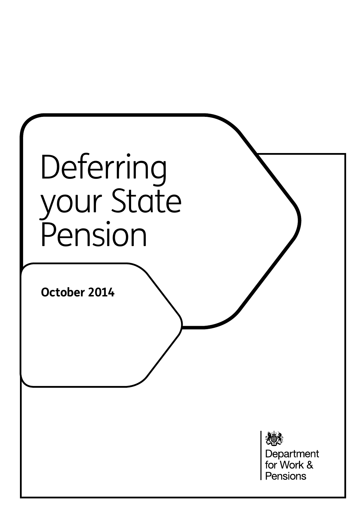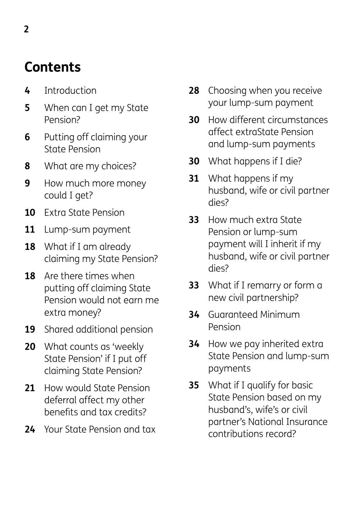# **Contents**

- **4** Introduction
- **5** When can I get my State Pension?
- **6** Putting off claiming your State Pension
- **8** What are my choices?
- **9** How much more money could I get?
- **10** Extra State Pension
- **11** Lump-sum payment
- **18** What if I am already claiming my State Pension?
- **18** Are there times when putting off claiming State Pension would not earn me extra money?
- **19** Shared additional pension
- **20** What counts as 'weekly State Pension' if I put off claiming State Pension?
- **21** How would State Pension deferral affect my other benefits and tax credits?
- **24** Your State Pension and tax
- **28** Choosing when you receive your lump-sum payment
- **30** How different circumstances affect extraState Pension and lump-sum payments
- **30** What happens if I die?
- **31** What happens if my husband, wife or civil partner dies?
- **33** How much extra State Pension or lump-sum payment will I inherit if my husband, wife or civil partner dies?
- **33** What if I remarry or form a new civil partnership?
- **34** Guaranteed Minimum Pension
- **34** How we pay inherited extra State Pension and lump-sum payments
- **35** What if I qualify for basic State Pension based on my husband's, wife's or civil partner's National Insurance contributions record?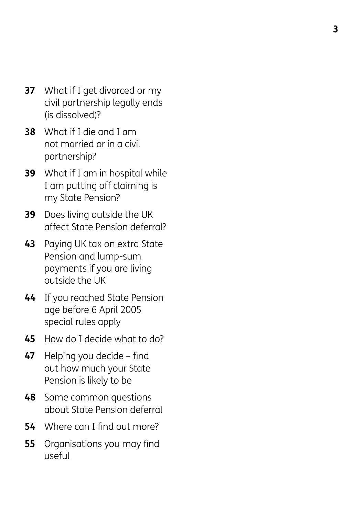- **37** What if I get divorced or my civil partnership legally ends (is dissolved)?
- **38** What if I die and I am not married or in a civil partnership?
- **39** What if I am in hospital while I am putting off claiming is my State Pension?
- **39** Does living outside the UK affect State Pension deferral?
- **43** Paying UK tax on extra State Pension and lump-sum payments if you are living outside the UK
- **44** If you reached State Pension age before 6 April 2005 special rules apply
- **45** How do I decide what to do?
- **47** Helping you decide – find out how much your State Pension is likely to be
- **48** Some common questions about State Pension deferral
- **54** Where can I find out more?
- **55** Organisations you may find useful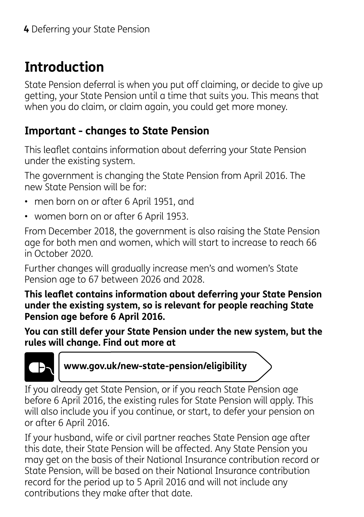# **Introduction**

State Pension deferral is when you put off claiming, or decide to give up getting, your State Pension until a time that suits you. This means that when you do claim, or claim again, you could get more money.

### **Important - changes to State Pension**

This leaflet contains information about deferring your State Pension under the existing system.

The government is changing the State Pension from April 2016. The new State Pension will be for:

- men born on or after 6 April 1951, and
- women born on or after 6 April 1953.

From December 2018, the government is also raising the State Pension age for both men and women, which will start to increase to reach 66 in October 2020.

Further changes will gradually increase men's and women's State Pension age to 67 between 2026 and 2028.

**This leaflet contains information about deferring your State Pension under the existing system, so is relevant for people reaching State Pension age before 6 April 2016.**

**You can still defer your State Pension under the new system, but the rules will change. Find out more at** 



**www.gov.uk/new-state-pension/eligibility**

If you already get State Pension, or if you reach State Pension age before 6 April 2016, the existing rules for State Pension will apply. This will also include you if you continue, or start, to defer your pension on or after 6 April 2016.

If your husband, wife or civil partner reaches State Pension age after this date, their State Pension will be affected. Any State Pension you may get on the basis of their National Insurance contribution record or State Pension, will be based on their National Insurance contribution record for the period up to 5 April 2016 and will not include any contributions they make after that date.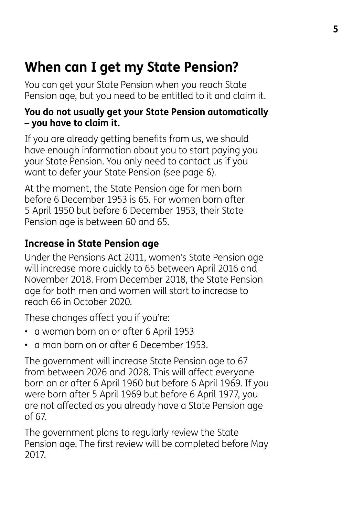# **When can I get my State Pension?**

You can get your State Pension when you reach State Pension age, but you need to be entitled to it and claim it.

#### **You do not usually get your State Pension automatically – you have to claim it.**

If you are already getting benefits from us, we should have enough information about you to start paying you your State Pension. You only need to contact us if you want to defer your State Pension (see page 6).

At the moment, the State Pension age for men born before 6 December 1953 is 65. For women born after 5 April 1950 but before 6 December 1953, their State Pension age is between 60 and 65.

#### **Increase in State Pension age**

Under the Pensions Act 2011, women's State Pension age will increase more quickly to 65 between April 2016 and November 2018. From December 2018, the State Pension age for both men and women will start to increase to reach 66 in October 2020.

These changes affect you if you're:

- a woman born on or after 6 April 1953
- a man born on or after 6 December 1953.

The government will increase State Pension age to 67 from between 2026 and 2028. This will affect everyone born on or after 6 April 1960 but before 6 April 1969. If you were born after 5 April 1969 but before 6 April 1977, you are not affected as you already have a State Pension age of 67.

The government plans to regularly review the State Pension age. The first review will be completed before May 2017.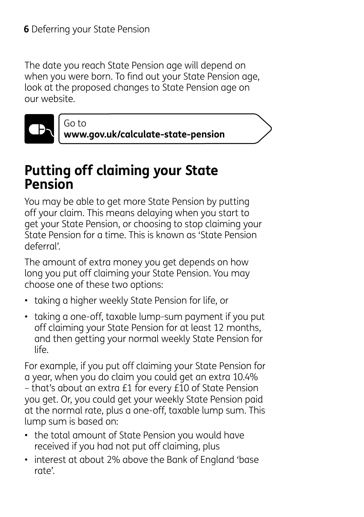Go to

The date you reach State Pension age will depend on when you were born. To find out your State Pension age, look at the proposed changes to State Pension age on our website.



**www.gov.uk/calculate-state-pension**

## **Putting off claiming your State Pension**

You may be able to get more State Pension by putting off your claim. This means delaying when you start to get your State Pension, or choosing to stop claiming your State Pension for a time. This is known as 'State Pension deferral'.

The amount of extra money you get depends on how long you put off claiming your State Pension. You may choose one of these two options:

- taking a higher weekly State Pension for life, or
- taking a one-off, taxable lump-sum payment if you put off claiming your State Pension for at least 12 months, and then getting your normal weekly State Pension for life.

For example, if you put off claiming your State Pension for a year, when you do claim you could get an extra 10.4% – that's about an extra £1 for every £10 of State Pension you get. Or, you could get your weekly State Pension paid at the normal rate, plus a one-off, taxable lump sum. This lump sum is based on:

- the total amount of State Pension you would have received if you had not put off claiming, plus
- interest at about 2% above the Bank of England 'base rate'.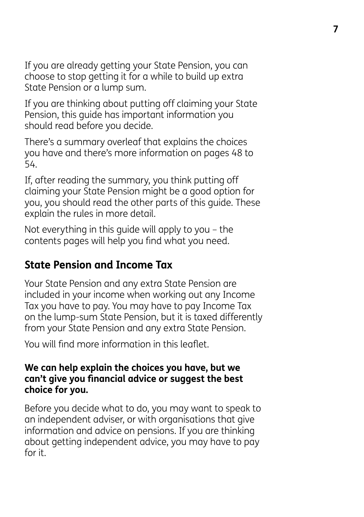If you are already getting your State Pension, you can choose to stop getting it for a while to build up extra State Pension or a lump sum.

If you are thinking about putting off claiming your State Pension, this guide has important information you should read before you decide.

There's a summary overleaf that explains the choices you have and there's more information on pages 48 to 54.

If, after reading the summary, you think putting off claiming your State Pension might be a good option for you, you should read the other parts of this guide. These explain the rules in more detail.

Not everything in this guide will apply to you – the contents pages will help you find what you need.

### **State Pension and Income Tax**

Your State Pension and any extra State Pension are included in your income when working out any Income Tax you have to pay. You may have to pay Income Tax on the lump-sum State Pension, but it is taxed differently from your State Pension and any extra State Pension.

You will find more information in this leaflet.

#### **We can help explain the choices you have, but we can't give you financial advice or suggest the best choice for you.**

Before you decide what to do, you may want to speak to an independent adviser, or with organisations that give information and advice on pensions. If you are thinking about getting independent advice, you may have to pay for it.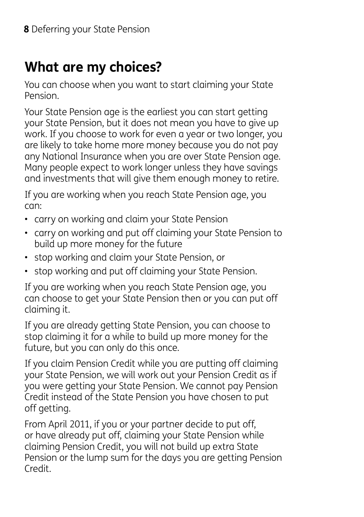## **What are my choices?**

You can choose when you want to start claiming your State Pension.

Your State Pension age is the earliest you can start getting your State Pension, but it does not mean you have to give up work. If you choose to work for even a year or two longer, you are likely to take home more money because you do not pay any National Insurance when you are over State Pension age. Many people expect to work longer unless they have savings and investments that will give them enough money to retire.

If you are working when you reach State Pension age, you can:

- carry on working and claim your State Pension
- carry on working and put off claiming your State Pension to build up more money for the future
- stop working and claim your State Pension, or
- stop working and put off claiming your State Pension.

If you are working when you reach State Pension age, you can choose to get your State Pension then or you can put off claiming it.

If you are already getting State Pension, you can choose to stop claiming it for a while to build up more money for the future, but you can only do this once.

If you claim Pension Credit while you are putting off claiming your State Pension, we will work out your Pension Credit as if you were getting your State Pension. We cannot pay Pension Credit instead of the State Pension you have chosen to put off getting.

From April 2011, if you or your partner decide to put off, or have already put off, claiming your State Pension while claiming Pension Credit, you will not build up extra State Pension or the lump sum for the days you are getting Pension Credit.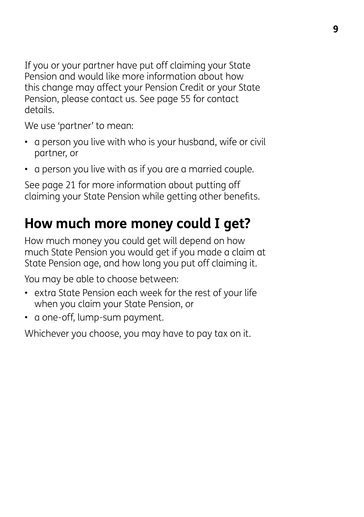If you or your partner have put off claiming your State Pension and would like more information about how this change may affect your Pension Credit or your State Pension, please contact us. See page 55 for contact details.

We use 'partner' to mean:

- a person you live with who is your husband, wife or civil partner, or
- a person you live with as if you are a married couple.

See page 21 for more information about putting off claiming your State Pension while getting other benefits.

# **How much more money could I get?**

How much money you could get will depend on how much State Pension you would get if you made a claim at State Pension age, and how long you put off claiming it.

You may be able to choose between:

- extra State Pension each week for the rest of your life when you claim your State Pension, or
- a one-off, lump-sum payment.

Whichever you choose, you may have to pay tax on it.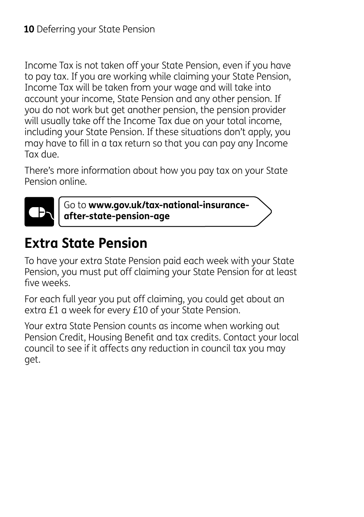Income Tax is not taken off your State Pension, even if you have to pay tax. If you are working while claiming your State Pension, Income Tax will be taken from your wage and will take into account your income, State Pension and any other pension. If you do not work but get another pension, the pension provider will usually take off the Income Tax due on your total income, including your State Pension. If these situations don't apply, you may have to fill in a tax return so that you can pay any Income Tax due.

There's more information about how you pay tax on your State Pension online.



Go to **www.gov.uk/tax-national-insuranceafter-state-pension-age**

## **Extra State Pension**

To have your extra State Pension paid each week with your State Pension, you must put off claiming your State Pension for at least five weeks.

For each full year you put off claiming, you could get about an extra £1 a week for every £10 of your State Pension.

Your extra State Pension counts as income when working out Pension Credit, Housing Benefit and tax credits. Contact your local council to see if it affects any reduction in council tax you may get.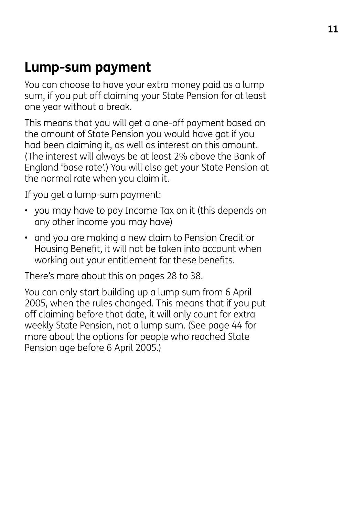## **Lump-sum payment**

You can choose to have your extra money paid as a lump sum, if you put off claiming your State Pension for at least one year without a break.

This means that you will get a one-off payment based on the amount of State Pension you would have got if you had been claiming it, as well as interest on this amount. (The interest will always be at least 2% above the Bank of England 'base rate'.) You will also get your State Pension at the normal rate when you claim it.

If you get a lump-sum payment:

- you may have to pay Income Tax on it (this depends on any other income you may have)
- and you are making a new claim to Pension Credit or Housing Benefit, it will not be taken into account when working out your entitlement for these benefits.

There's more about this on pages 28 to 38.

You can only start building up a lump sum from 6 April 2005, when the rules changed. This means that if you put off claiming before that date, it will only count for extra weekly State Pension, not a lump sum. (See page 44 for more about the options for people who reached State Pension age before 6 April 2005.)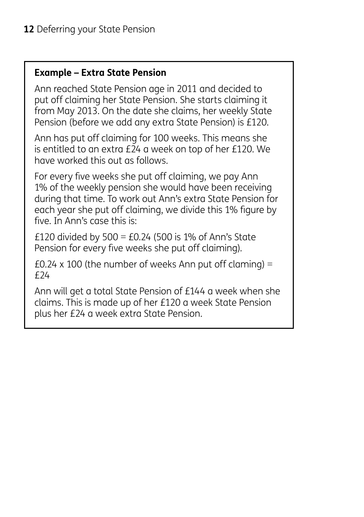#### **Example – Extra State Pension**

Ann reached State Pension age in 2011 and decided to put off claiming her State Pension. She starts claiming it from May 2013. On the date she claims, her weekly State Pension (before we add any extra State Pension) is £120.

Ann has put off claiming for 100 weeks. This means she is entitled to an extra £24 a week on top of her £120. We have worked this out as follows.

For every five weeks she put off claiming, we pay Ann 1% of the weekly pension she would have been receiving during that time. To work out Ann's extra State Pension for each year she put off claiming, we divide this 1% figure by five. In Ann's case this is:

£120 divided by  $500 = £0.24$  (500 is 1% of Ann's State Pension for every five weeks she put off claiming).

£0.24 x 100 (the number of weeks Ann put off claming) = £24

Ann will get a total State Pension of £144 a week when she claims. This is made up of her £120 a week State Pension plus her £24 a week extra State Pension.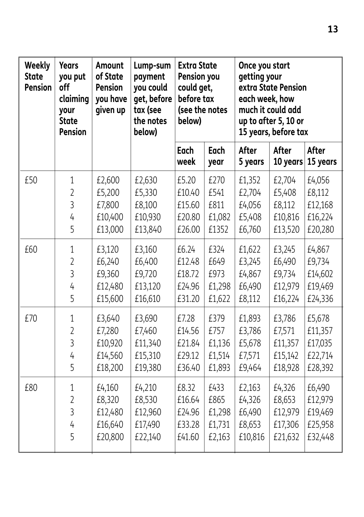| Weekly<br><b>State</b><br><b>Pension</b> | <b>Years</b><br>you put<br>off<br>claiming<br>your<br><b>State</b><br><b>Pension</b> | Amount<br>of State<br><b>Pension</b><br>you have<br>given up | Lump-sum<br>payment<br>you could<br>get, before<br>tax (see<br>the notes<br>below) | <b>Extra State</b><br>Pension you<br>could get,<br>before tax<br>(see the notes<br>below) |              | Once you start<br>getting your<br>extra State Pension<br>each week, how<br>much it could add<br>up to after 5, 10 or<br>15 years, before tax |                   |                   |
|------------------------------------------|--------------------------------------------------------------------------------------|--------------------------------------------------------------|------------------------------------------------------------------------------------|-------------------------------------------------------------------------------------------|--------------|----------------------------------------------------------------------------------------------------------------------------------------------|-------------------|-------------------|
|                                          |                                                                                      |                                                              |                                                                                    | Each<br>week                                                                              | Each<br>year | After<br>5 years                                                                                                                             | After<br>10 years | After<br>15 years |
| £50                                      | $\mathbf 1$                                                                          | £2,600                                                       | £2,630                                                                             | £5.20                                                                                     | £270         | £1,352                                                                                                                                       | £2,704            | £4,056            |
|                                          | $\overline{2}$                                                                       | £5,200                                                       | £5,330                                                                             | £10.40                                                                                    | £541         | £2,704                                                                                                                                       | £5,408            | £8,112            |
|                                          | $\overline{3}$                                                                       | £7,800                                                       | £8,100                                                                             | £15.60                                                                                    | £811         | £4,056                                                                                                                                       | £8,112            | £12,168           |
|                                          | 4                                                                                    | £10,400                                                      | £10,930                                                                            | £20.80                                                                                    | £1,082       | £5,408                                                                                                                                       | £10,816           | £16,224           |
|                                          | 5                                                                                    | £13,000                                                      | £13,840                                                                            | £26.00                                                                                    | £1352        | £6,760                                                                                                                                       | £13,520           | £20,280           |
| £60                                      | $\mathbf 1$                                                                          | £3,120                                                       | £3,160                                                                             | £6.24                                                                                     | £324         | £1,622                                                                                                                                       | £3,245            | £4,867            |
|                                          | $\overline{2}$                                                                       | £6,240                                                       | £6,400                                                                             | £12.48                                                                                    | £649         | £3,245                                                                                                                                       | £6,490            | £9,734            |
|                                          | $\overline{3}$                                                                       | £9,360                                                       | £9,720                                                                             | £18.72                                                                                    | £973         | £4,867                                                                                                                                       | £9,734            | £14,602           |
|                                          | 4                                                                                    | £12,480                                                      | £13,120                                                                            | £24.96                                                                                    | £1,298       | £6,490                                                                                                                                       | £12,979           | £19,469           |
|                                          | 5                                                                                    | £15,600                                                      | £16,610                                                                            | £31.20                                                                                    | £1,622       | £8,112                                                                                                                                       | £16,224           | £24,336           |
| £70                                      | $\mathbf 1$                                                                          | £3,640                                                       | £3,690                                                                             | £7.28                                                                                     | £379         | £1,893                                                                                                                                       | £3,786            | £5,678            |
|                                          | $\overline{2}$                                                                       | £7,280                                                       | £7,460                                                                             | £14.56                                                                                    | £757         | £3,786                                                                                                                                       | £7,571            | £11,357           |
|                                          | $\overline{3}$                                                                       | £10,920                                                      | £11,340                                                                            | £21.84                                                                                    | £1,136       | £5,678                                                                                                                                       | £11,357           | £17,035           |
|                                          | 4                                                                                    | £14,560                                                      | £15,310                                                                            | £29.12                                                                                    | £1,514       | £7,571                                                                                                                                       | £15,142           | £22,714           |
|                                          | 5                                                                                    | £18,200                                                      | £19,380                                                                            | £36.40                                                                                    | £1,893       | £9,464                                                                                                                                       | £18,928           | £28,392           |
| £80                                      | $1\,$                                                                                | £4,160                                                       | £4,210                                                                             | £8.32                                                                                     | £433         | £2,163                                                                                                                                       | £4,326            | £6,490            |
|                                          | $\overline{2}$                                                                       | £8,320                                                       | £8,530                                                                             | £16.64                                                                                    | £865         | £4,326                                                                                                                                       | £8,653            | £12,979           |
|                                          | $\overline{3}$                                                                       | £12,480                                                      | £12,960                                                                            | £24.96                                                                                    | £1,298       | £6,490                                                                                                                                       | £12,979           | £19,469           |
|                                          | 4                                                                                    | £16,640                                                      | £17,490                                                                            | £33.28                                                                                    | £1,731       | £8,653                                                                                                                                       | £17,306           | £25,958           |
|                                          | 5                                                                                    | £20,800                                                      | £22,140                                                                            | £41.60                                                                                    | £2,163       | £10,816                                                                                                                                      | £21,632           | £32,448           |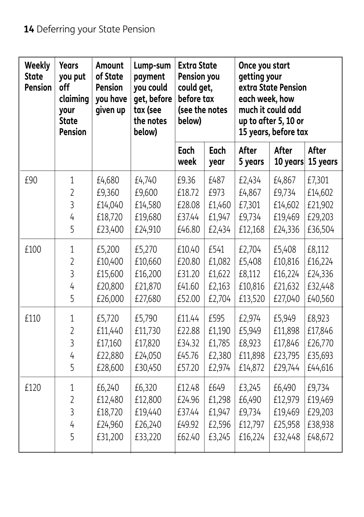| Weekly<br><b>State</b><br>Pension | <b>Years</b><br>you put<br>off<br>claiming<br>your<br><b>State</b><br><b>Pension</b> | <b>Amount</b><br>of State<br><b>Pension</b><br>you have<br>given up | Lump-sum<br>payment<br>you could<br>get, before<br>tax (see<br>the notes<br>below) | <b>Extra State</b><br>Pension you<br>could get,<br>before tax<br>(see the notes<br>below) |                     | Once you start<br>getting your<br>each week, how | extra State Pension<br>much it could add<br>up to after 5, 10 or<br>15 years, before tax |                   |  |
|-----------------------------------|--------------------------------------------------------------------------------------|---------------------------------------------------------------------|------------------------------------------------------------------------------------|-------------------------------------------------------------------------------------------|---------------------|--------------------------------------------------|------------------------------------------------------------------------------------------|-------------------|--|
|                                   |                                                                                      |                                                                     |                                                                                    | <b>Each</b><br>week                                                                       | <b>Each</b><br>year | After<br>5 years                                 | After<br>10 years                                                                        | After<br>15 years |  |
| £90                               | 1                                                                                    | £4,680                                                              | £4,740                                                                             | £9.36                                                                                     | £487                | £2,434                                           | £4,867                                                                                   | £7,301            |  |
|                                   | $\overline{2}$                                                                       | £9,360                                                              | £9,600                                                                             | £18.72                                                                                    | £973                | £4,867                                           | £9,734                                                                                   | £14,602           |  |
|                                   | $\overline{3}$                                                                       | £14,040                                                             | £14,580                                                                            | £28.08                                                                                    | £1,460              | £7,301                                           | £14,602                                                                                  | £21,902           |  |
|                                   | 4                                                                                    | £18,720                                                             | £19,680                                                                            | £37.44                                                                                    | £1,947              | £9,734                                           | £19,469                                                                                  | £29,203           |  |
|                                   | 5                                                                                    | £23,400                                                             | £24,910                                                                            | £46.80                                                                                    | £2,434              | £12,168                                          | £24,336                                                                                  | £36,504           |  |
| £100                              | 1                                                                                    | £5,200                                                              | £5,270                                                                             | £10.40                                                                                    | £541                | £2,704                                           | £5,408                                                                                   | £8,112            |  |
|                                   | $\overline{2}$                                                                       | £10,400                                                             | £10,660                                                                            | £20.80                                                                                    | £1,082              | £5,408                                           | £10,816                                                                                  | £16,224           |  |
|                                   | $\overline{3}$                                                                       | £15,600                                                             | £16,200                                                                            | £31.20                                                                                    | £1,622              | £8,112                                           | £16,224                                                                                  | £24,336           |  |
|                                   | 4                                                                                    | £20,800                                                             | £21,870                                                                            | £41.60                                                                                    | £2,163              | £10,816                                          | £21,632                                                                                  | £32,448           |  |
|                                   | 5                                                                                    | £26,000                                                             | £27,680                                                                            | £52.00                                                                                    | £2,704              | £13,520                                          | £27,040                                                                                  | £40,560           |  |
| £110                              | $\mathbf 1$                                                                          | £5,720                                                              | £5,790                                                                             | £11.44                                                                                    | £595                | £2,974                                           | £5,949                                                                                   | £8,923            |  |
|                                   | $\overline{2}$                                                                       | £11,440                                                             | £11,730                                                                            | £22.88                                                                                    | £1,190              | £5,949                                           | £11,898                                                                                  | £17,846           |  |
|                                   | 3                                                                                    | £17,160                                                             | £17,820                                                                            | £34.32                                                                                    | £1,785              | £8,923                                           | £17,846                                                                                  | £26,770           |  |
|                                   | 4                                                                                    | £22,880                                                             | £24,050                                                                            | £45.76                                                                                    | £2,380              | £11,898                                          | £23,795                                                                                  | £35,693           |  |
|                                   | 5                                                                                    | £28,600                                                             | £30,450                                                                            | £57.20                                                                                    | £2,974              | £14,872                                          | £29,744                                                                                  | £44,616           |  |
| £120                              | 1                                                                                    | £6,240                                                              | £6,320                                                                             | £12.48                                                                                    | £649                | £3,245                                           | £6,490                                                                                   | £9,734            |  |
|                                   | $\overline{2}$                                                                       | £12,480                                                             | £12,800                                                                            | £24.96                                                                                    | £1,298              | £6,490                                           | £12,979                                                                                  | £19,469           |  |
|                                   | 3                                                                                    | £18,720                                                             | £19,440                                                                            | £37.44                                                                                    | £1,947              | £9,734                                           | £19,469                                                                                  | £29,203           |  |
|                                   | $\overline{4}$                                                                       | £24,960                                                             | £26,240                                                                            | £49.92                                                                                    | £2,596              | £12,797                                          | £25,958                                                                                  | £38,938           |  |
|                                   | 5                                                                                    | £31,200                                                             | £33,220                                                                            | £62.40                                                                                    | £3,245              | £16,224                                          | £32,448                                                                                  | £48,672           |  |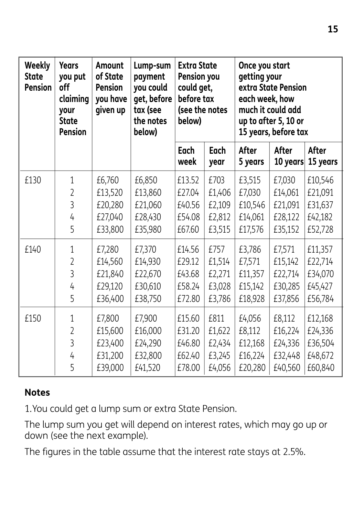| <b>Weekly</b><br><b>State</b><br><b>Pension</b> | <b>Years</b><br>you put<br>off<br>claiming<br>your<br><b>State</b><br><b>Pension</b> | Amount<br>of State<br><b>Pension</b><br>you have<br>given up | Lump-sum<br>payment<br>you could<br>get, before<br>tax (see<br>the notes<br>below) | <b>Extra State</b><br>Pension you<br>could get,<br>before tax<br>(see the notes<br>below) |              | Once you start<br>getting your<br>extra State Pension<br>each week, how<br>much it could add<br>up to after 5, 10 or<br>15 years, before tax |                   |                   |
|-------------------------------------------------|--------------------------------------------------------------------------------------|--------------------------------------------------------------|------------------------------------------------------------------------------------|-------------------------------------------------------------------------------------------|--------------|----------------------------------------------------------------------------------------------------------------------------------------------|-------------------|-------------------|
|                                                 |                                                                                      |                                                              |                                                                                    | Each<br>week                                                                              | Each<br>year | After<br>5 years                                                                                                                             | After<br>10 years | After<br>15 years |
| £130                                            | 1                                                                                    | £6,760                                                       | £6,850                                                                             | £13.52                                                                                    | £703         | £3,515                                                                                                                                       | £7,030            | £10,546           |
|                                                 | $\overline{2}$                                                                       | £13,520                                                      | £13,860                                                                            | £27.04                                                                                    | £1,406       | £7,030                                                                                                                                       | £14,061           | £21,091           |
|                                                 | 3                                                                                    | £20,280                                                      | £21,060                                                                            | £40.56                                                                                    | £2,109       | £10,546                                                                                                                                      | £21,091           | £31,637           |
|                                                 | 4                                                                                    | £27,040                                                      | £28,430                                                                            | £54.08                                                                                    | £2,812       | £14,061                                                                                                                                      | £28,122           | £42,182           |
|                                                 | 5                                                                                    | £33,800                                                      | £35,980                                                                            | £67.60                                                                                    | £3,515       | £17,576                                                                                                                                      | £35,152           | £52,728           |
| £140                                            | $\mathbf 1$                                                                          | £7,280                                                       | £7,370                                                                             | £14.56                                                                                    | £757         | £3,786                                                                                                                                       | £7,571            | £11,357           |
|                                                 | $\overline{2}$                                                                       | £14,560                                                      | £14,930                                                                            | £29.12                                                                                    | £1,514       | £7,571                                                                                                                                       | £15,142           | £22,714           |
|                                                 | 3                                                                                    | £21,840                                                      | £22,670                                                                            | £43.68                                                                                    | £2,271       | £11,357                                                                                                                                      | £22,714           | £34,070           |
|                                                 | 4                                                                                    | £29,120                                                      | £30,610                                                                            | £58.24                                                                                    | £3,028       | £15,142                                                                                                                                      | £30,285           | £45,427           |
|                                                 | 5                                                                                    | £36,400                                                      | £38,750                                                                            | £72.80                                                                                    | £3,786       | £18,928                                                                                                                                      | £37,856           | £56,784           |
| £150                                            | $\mathbf 1$                                                                          | £7,800                                                       | £7,900                                                                             | £15.60                                                                                    | £811         | £4,056                                                                                                                                       | £8,112            | £12,168           |
|                                                 | $\overline{2}$                                                                       | £15,600                                                      | £16,000                                                                            | £31.20                                                                                    | £1,622       | £8,112                                                                                                                                       | £16,224           | £24,336           |
|                                                 | 3                                                                                    | £23,400                                                      | £24,290                                                                            | £46.80                                                                                    | £2,434       | £12,168                                                                                                                                      | £24,336           | £36,504           |
|                                                 | 4                                                                                    | £31,200                                                      | £32,800                                                                            | £62.40                                                                                    | £3,245       | £16,224                                                                                                                                      | £32,448           | £48,672           |
|                                                 | 5                                                                                    | £39,000                                                      | £41,520                                                                            | £78.00                                                                                    | £4,056       | £20,280                                                                                                                                      | £40,560           | £60,840           |

#### **Notes**

1.You could get a lump sum or extra State Pension.

The lump sum you get will depend on interest rates, which may go up or down (see the next example).

The figures in the table assume that the interest rate stays at 2.5%.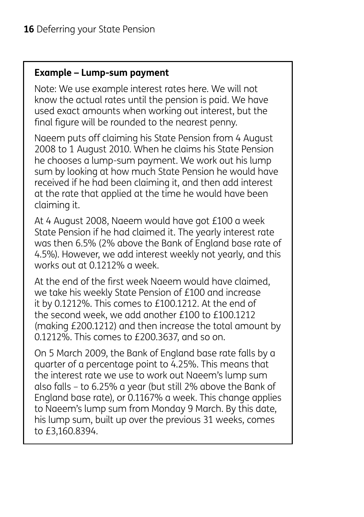#### **Example – Lump-sum payment**

Note: We use example interest rates here. We will not know the actual rates until the pension is paid. We have used exact amounts when working out interest, but the final figure will be rounded to the nearest penny.

Naeem puts off claiming his State Pension from 4 August 2008 to 1 August 2010. When he claims his State Pension he chooses a lump-sum payment. We work out his lump sum by looking at how much State Pension he would have received if he had been claiming it, and then add interest at the rate that applied at the time he would have been claiming it.

At 4 August 2008, Naeem would have got £100 a week State Pension if he had claimed it. The yearly interest rate was then 6.5% (2% above the Bank of England base rate of 4.5%). However, we add interest weekly not yearly, and this works out at 0.1212% a week.

At the end of the first week Naeem would have claimed, we take his weekly State Pension of £100 and increase it by 0.1212%. This comes to £100.1212. At the end of the second week, we add another £100 to £100.1212 (making £200.1212) and then increase the total amount by 0.1212%. This comes to £200.3637, and so on.

On 5 March 2009, the Bank of England base rate falls by a quarter of a percentage point to 4.25%. This means that the interest rate we use to work out Naeem's lump sum also falls – to 6.25% a year (but still 2% above the Bank of England base rate), or 0.1167% a week. This change applies to Naeem's lump sum from Monday 9 March. By this date, his lump sum, built up over the previous 31 weeks, comes to £3,160.8394.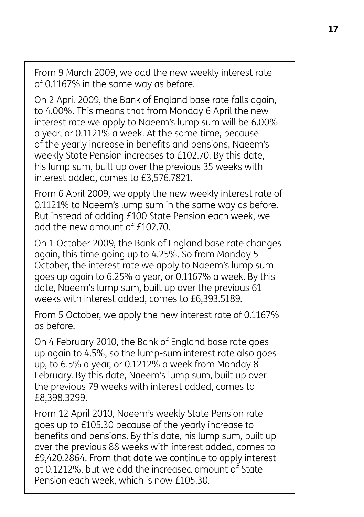From 9 March 2009, we add the new weekly interest rate of 0.1167% in the same way as before.

On 2 April 2009, the Bank of England base rate falls again, to 4.00%. This means that from Monday 6 April the new interest rate we apply to Naeem's lump sum will be 6.00% a year, or 0.1121% a week. At the same time, because of the yearly increase in benefits and pensions, Naeem's weekly State Pension increases to £102.70. By this date, his lump sum, built up over the previous 35 weeks with interest added, comes to £3,576.7821.

From 6 April 2009, we apply the new weekly interest rate of 0.1121% to Naeem's lump sum in the same way as before. But instead of adding £100 State Pension each week, we add the new amount of £102.70.

On 1 October 2009, the Bank of England base rate changes again, this time going up to 4.25%. So from Monday 5 October, the interest rate we apply to Naeem's lump sum goes up again to 6.25% a year, or 0.1167% a week. By this date, Naeem's lump sum, built up over the previous 61 weeks with interest added, comes to £6,393.5189.

From 5 October, we apply the new interest rate of 0.1167% as before.

On 4 February 2010, the Bank of England base rate goes up again to 4.5%, so the lump-sum interest rate also goes up, to 6.5% a year, or 0.1212% a week from Monday 8 February. By this date, Naeem's lump sum, built up over the previous 79 weeks with interest added, comes to £8,398.3299.

From 12 April 2010, Naeem's weekly State Pension rate goes up to £105.30 because of the yearly increase to benefits and pensions. By this date, his lump sum, built up over the previous 88 weeks with interest added, comes to £9,420.2864. From that date we continue to apply interest at 0.1212%, but we add the increased amount of State Pension each week, which is now £105.30.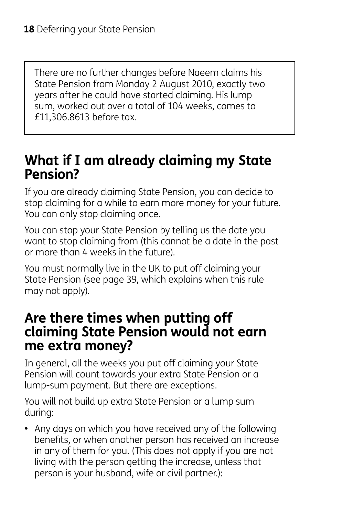There are no further changes before Naeem claims his State Pension from Monday 2 August 2010, exactly two years after he could have started claiming. His lump sum, worked out over a total of 104 weeks, comes to £11,306.8613 before tax.

## **What if I am already claiming my State Pension?**

If you are already claiming State Pension, you can decide to stop claiming for a while to earn more money for your future. You can only stop claiming once.

You can stop your State Pension by telling us the date you want to stop claiming from (this cannot be a date in the past or more than 4 weeks in the future).

You must normally live in the UK to put off claiming your State Pension (see page 39, which explains when this rule may not apply).

## **Are there times when putting off claiming State Pension would not earn me extra money?**

In general, all the weeks you put off claiming your State Pension will count towards your extra State Pension or a lump-sum payment. But there are exceptions.

You will not build up extra State Pension or a lump sum during:

**•** Any days on which you have received any of the following benefits, or when another person has received an increase in any of them for you. (This does not apply if you are not living with the person getting the increase, unless that person is your husband, wife or civil partner.):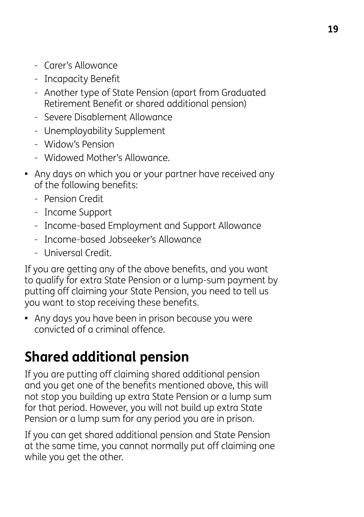- Carer's Allowance
- Incapacity Benefit
- Another type of State Pension (apart from Graduated Retirement Benefit or shared additional pension)
- Severe Disablement Allowance
- Unemployability Supplement
- Widow's Pension
- Widowed Mother's Allowance.
- **•** Any days on which you or your partner have received any of the following benefits:
	- Pension Credit
	- Income Support
	- Income-based Employment and Support Allowance
	- Income-based Jobseeker's Allowance
	- Universal Credit.

If you are getting any of the above benefits, and you want to qualify for extra State Pension or a lump-sum payment by putting off claiming your State Pension, you need to tell us you want to stop receiving these benefits.

**•** Any days you have been in prison because you were convicted of a criminal offence.

# **Shared additional pension**

If you are putting off claiming shared additional pension and you get one of the benefits mentioned above, this will not stop you building up extra State Pension or a lump sum for that period. However, you will not build up extra State Pension or a lump sum for any period you are in prison.

If you can get shared additional pension and State Pension at the same time, you cannot normally put off claiming one while you get the other.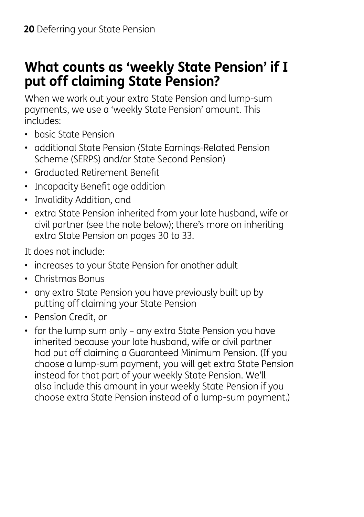## **What counts as 'weekly State Pension' if I put off claiming State Pension?**

When we work out your extra State Pension and lump-sum payments, we use a 'weekly State Pension' amount. This includes:

- basic State Pension
- additional State Pension (State Earnings-Related Pension Scheme (SERPS) and/or State Second Pension)
- Graduated Retirement Benefit
- Incapacity Benefit age addition
- Invalidity Addition, and
- extra State Pension inherited from your late husband, wife or civil partner (see the note below); there's more on inheriting extra State Pension on pages 30 to 33.

It does not include:

- increases to your State Pension for another adult
- Christmas Bonus
- any extra State Pension you have previously built up by putting off claiming your State Pension
- Pension Credit, or
- for the lump sum only any extra State Pension you have inherited because your late husband, wife or civil partner had put off claiming a Guaranteed Minimum Pension. (If you choose a lump-sum payment, you will get extra State Pension instead for that part of your weekly State Pension. We'll also include this amount in your weekly State Pension if you choose extra State Pension instead of a lump-sum payment.)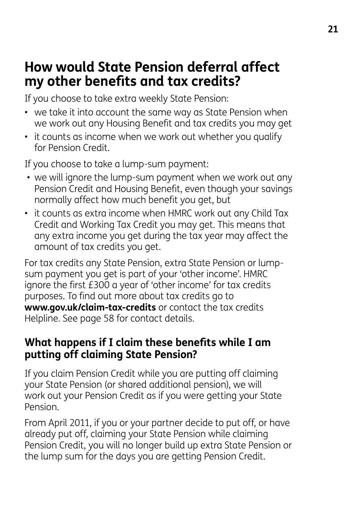## **How would State Pension deferral affect my other benefits and tax credits?**

If you choose to take extra weekly State Pension:

- we take it into account the same way as State Pension when we work out any Housing Benefit and tax credits you may get
- it counts as income when we work out whether you qualify for Pension Credit.

If you choose to take a lump-sum payment:

- we will ignore the lump-sum payment when we work out any Pension Credit and Housing Benefit, even though your savings normally affect how much benefit you get, but
- it counts as extra income when HMRC work out any Child Tax Credit and Working Tax Credit you may get. This means that any extra income you get during the tax year may affect the amount of tax credits you get.

For tax credits any State Pension, extra State Pension or lumpsum payment you get is part of your 'other income'. HMRC ignore the first £300 a year of 'other income' for tax credits purposes. To find out more about tax credits go to **www.gov.uk/claim-tax-credits** or contact the tax credits Helpline. See page 58 for contact details.

#### **What happens if I claim these benefits while I am putting off claiming State Pension?**

If you claim Pension Credit while you are putting off claiming your State Pension (or shared additional pension), we will work out your Pension Credit as if you were getting your State Pension.

From April 2011, if you or your partner decide to put off, or have already put off, claiming your State Pension while claiming Pension Credit, you will no longer build up extra State Pension or the lump sum for the days you are getting Pension Credit.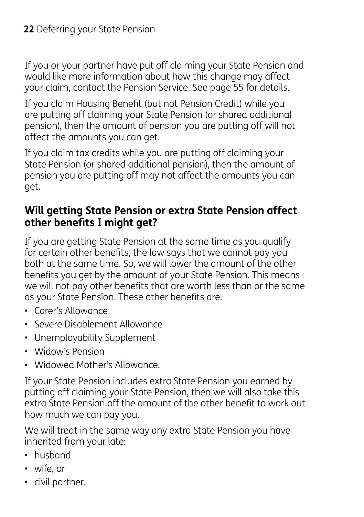If you or your partner have put off claiming your State Pension and would like more information about how this change may affect your claim, contact the Pension Service. See page 55 for details.

If you claim Housing Benefit (but not Pension Credit) while you are putting off claiming your State Pension (or shared additional pension), then the amount of pension you are putting off will not affect the amounts you can get.

If you claim tax credits while you are putting off claiming your State Pension (or shared additional pension), then the amount of pension you are putting off may not affect the amounts you can get.

#### **Will getting State Pension or extra State Pension affect other benefits I might get?**

If you are getting State Pension at the same time as you qualify for certain other benefits, the law says that we cannot pay you both at the same time. So, we will lower the amount of the other benefits you get by the amount of your State Pension. This means we will not pay other benefits that are worth less than or the same as your State Pension. These other benefits are:

- Carer's Allowance
- Severe Disablement Allowance
- Unemployability Supplement
- Widow's Pension
- Widowed Mother's Allowance.

If your State Pension includes extra State Pension you earned by putting off claiming your State Pension, then we will also take this extra State Pension off the amount of the other benefit to work out how much we can pay you.

We will treat in the same way any extra State Pension you have inherited from your late:

- husband
- wife, or
- civil partner.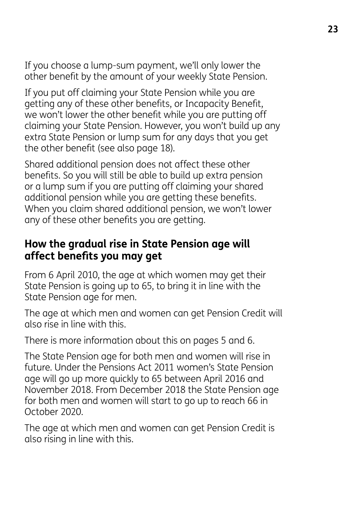If you choose a lump-sum payment, we'll only lower the other benefit by the amount of your weekly State Pension.

If you put off claiming your State Pension while you are getting any of these other benefits, or Incapacity Benefit, we won't lower the other benefit while you are putting off claiming your State Pension. However, you won't build up any extra State Pension or lump sum for any days that you get the other benefit (see also page 18).

Shared additional pension does not affect these other benefits. So you will still be able to build up extra pension or a lump sum if you are putting off claiming your shared additional pension while you are getting these benefits. When you claim shared additional pension, we won't lower any of these other benefits you are getting.

#### **How the gradual rise in State Pension age will affect benefits you may get**

From 6 April 2010, the age at which women may get their State Pension is going up to 65, to bring it in line with the State Pension age for men.

The age at which men and women can get Pension Credit will also rise in line with this.

There is more information about this on pages 5 and 6.

The State Pension age for both men and women will rise in future. Under the Pensions Act 2011 women's State Pension age will go up more quickly to 65 between April 2016 and November 2018. From December 2018 the State Pension age for both men and women will start to go up to reach 66 in October 2020.

The age at which men and women can get Pension Credit is also rising in line with this.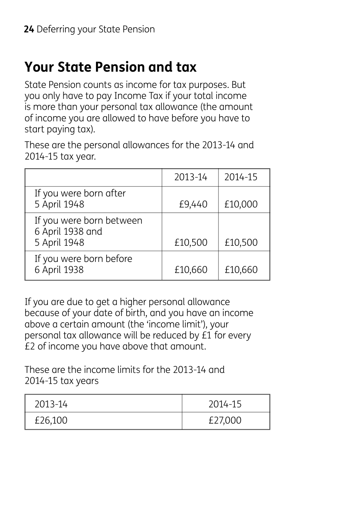# **Your State Pension and tax**

State Pension counts as income for tax purposes. But you only have to pay Income Tax if your total income is more than your personal tax allowance (the amount of income you are allowed to have before you have to start paying tax).

These are the personal allowances for the 2013-14 and 2014-15 tax year.

|                                                              | 2013-14 | 2014-15 |
|--------------------------------------------------------------|---------|---------|
| If you were born after<br>5 April 1948                       | £9,440  | £10,000 |
| If you were born between<br>6 April 1938 and<br>5 April 1948 | £10,500 | £10,500 |
| If you were born before<br>6 April 1938                      | £10,660 | £10,660 |

If you are due to get a higher personal allowance because of your date of birth, and you have an income above a certain amount (the 'income limit'), your personal tax allowance will be reduced by £1 for every £2 of income you have above that amount.

These are the income limits for the 2013-14 and 2014-15 tax years

| 2013-14 | 2014-15 |
|---------|---------|
| £26,100 | £27,000 |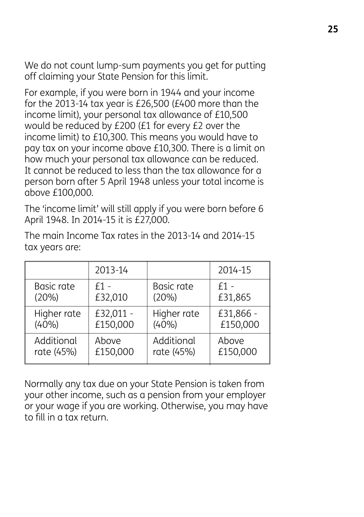We do not count lump-sum payments you get for putting off claiming your State Pension for this limit.

For example, if you were born in 1944 and your income for the 2013-14 tax year is £26,500 (£400 more than the income limit), your personal tax allowance of £10,500 would be reduced by £200 (£1 for every £2 over the income limit) to £10,300. This means you would have to pay tax on your income above £10,300. There is a limit on how much your personal tax allowance can be reduced. It cannot be reduced to less than the tax allowance for a person born after 5 April 1948 unless your total income is above £100,000.

The 'income limit' will still apply if you were born before 6 April 1948. In 2014-15 it is £27,000.

|             | 2013-14   |             | 2014-15   |
|-------------|-----------|-------------|-----------|
| Basic rate  | $f1 -$    | Basic rate  | $f1 -$    |
| (20%)       | £32,010   | (20%)       | £31,865   |
| Higher rate | £32,011 - | Higher rate | £31,866 - |
| (40%)       | £150,000  | (40%)       | £150,000  |
| Additional  | Above     | Additional  | Above     |
| rate (45%)  | £150,000  | rate (45%)  | £150,000  |

The main Income Tax rates in the 2013-14 and 2014-15 tax years are:

Normally any tax due on your State Pension is taken from your other income, such as a pension from your employer or your wage if you are working. Otherwise, you may have to fill in a tax return.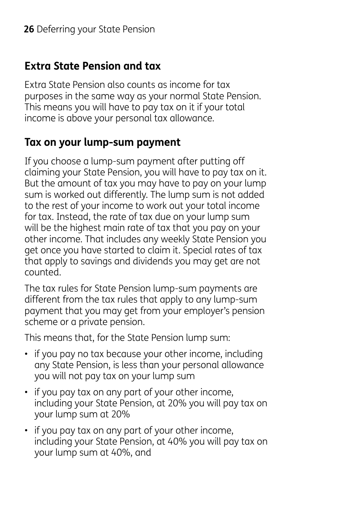#### **Extra State Pension and tax**

Extra State Pension also counts as income for tax purposes in the same way as your normal State Pension. This means you will have to pay tax on it if your total income is above your personal tax allowance.

### **Tax on your lump-sum payment**

If you choose a lump-sum payment after putting off claiming your State Pension, you will have to pay tax on it. But the amount of tax you may have to pay on your lump sum is worked out differently. The lump sum is not added to the rest of your income to work out your total income for tax. Instead, the rate of tax due on your lump sum will be the highest main rate of tax that you pay on your other income. That includes any weekly State Pension you get once you have started to claim it. Special rates of tax that apply to savings and dividends you may get are not counted.

The tax rules for State Pension lump-sum payments are different from the tax rules that apply to any lump-sum payment that you may get from your employer's pension scheme or a private pension.

This means that, for the State Pension lump sum:

- if you pay no tax because your other income, including any State Pension, is less than your personal allowance you will not pay tax on your lump sum
- if you pay tax on any part of your other income, including your State Pension, at 20% you will pay tax on your lump sum at 20%
- if you pay tax on any part of your other income, including your State Pension, at 40% you will pay tax on your lump sum at 40%, and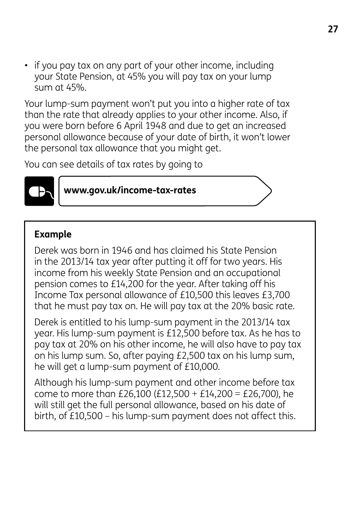• if you pay tax on any part of your other income, including your State Pension, at 45% you will pay tax on your lump sum at 45%.

Your lump-sum payment won't put you into a higher rate of tax than the rate that already applies to your other income. Also, if you were born before 6 April 1948 and due to get an increased personal allowance because of your date of birth, it won't lower the personal tax allowance that you might get.

You can see details of tax rates by going to



**www.gov.uk/income-tax-rates**

#### **Example**

Derek was born in 1946 and has claimed his State Pension in the 2013/14 tax year after putting it off for two years. His income from his weekly State Pension and an occupational pension comes to £14,200 for the year. After taking off his Income Tax personal allowance of £10,500 this leaves £3,700 that he must pay tax on. He will pay tax at the 20% basic rate.

Derek is entitled to his lump-sum payment in the 2013/14 tax year. His lump-sum payment is £12,500 before tax. As he has to pay tax at 20% on his other income, he will also have to pay tax on his lump sum. So, after paying £2,500 tax on his lump sum, he will get a lump-sum payment of £10,000.

Although his lump-sum payment and other income before tax come to more than £26,100 (£12,500 + £14,200 = £26,700), he will still get the full personal allowance, based on his date of birth, of £10,500 – his lump-sum payment does not affect this.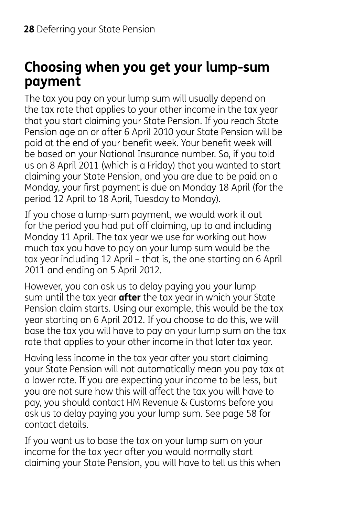## **Choosing when you get your lump-sum payment**

The tax you pay on your lump sum will usually depend on the tax rate that applies to your other income in the tax year that you start claiming your State Pension. If you reach State Pension age on or after 6 April 2010 your State Pension will be paid at the end of your benefit week. Your benefit week will be based on your National Insurance number. So, if you told us on 8 April 2011 (which is a Friday) that you wanted to start claiming your State Pension, and you are due to be paid on a Monday, your first payment is due on Monday 18 April (for the period 12 April to 18 April, Tuesday to Monday).

If you chose a lump-sum payment, we would work it out for the period you had put off claiming, up to and including Monday 11 April. The tax year we use for working out how much tax you have to pay on your lump sum would be the tax year including 12 April – that is, the one starting on 6 April 2011 and ending on 5 April 2012.

However, you can ask us to delay paying you your lump sum until the tax year **after** the tax year in which your State Pension claim starts. Using our example, this would be the tax year starting on 6 April 2012. If you choose to do this, we will base the tax you will have to pay on your lump sum on the tax rate that applies to your other income in that later tax year.

Having less income in the tax year after you start claiming your State Pension will not automatically mean you pay tax at a lower rate. If you are expecting your income to be less, but you are not sure how this will affect the tax you will have to pay, you should contact HM Revenue & Customs before you ask us to delay paying you your lump sum. See page 58 for contact details.

If you want us to base the tax on your lump sum on your income for the tax year after you would normally start claiming your State Pension, you will have to tell us this when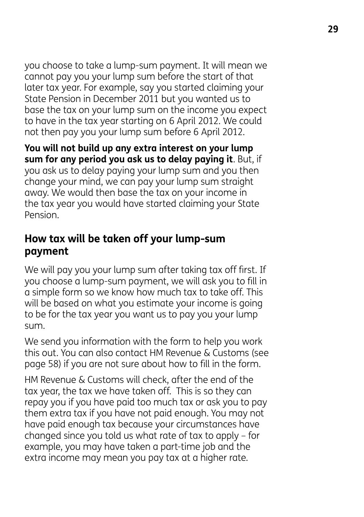you choose to take a lump-sum payment. It will mean we cannot pay you your lump sum before the start of that later tax year. For example, say you started claiming your State Pension in December 2011 but you wanted us to base the tax on your lump sum on the income you expect to have in the tax year starting on 6 April 2012. We could not then pay you your lump sum before 6 April 2012.

**You will not build up any extra interest on your lump sum for any period you ask us to delay paying it**. But, if you ask us to delay paying your lump sum and you then change your mind, we can pay your lump sum straight away. We would then base the tax on your income in the tax year you would have started claiming your State Pension.

#### **How tax will be taken off your lump-sum payment**

We will pay you your lump sum after taking tax off first. If you choose a lump-sum payment, we will ask you to fill in a simple form so we know how much tax to take off. This will be based on what you estimate your income is going to be for the tax year you want us to pay you your lump sum.

We send you information with the form to help you work this out. You can also contact HM Revenue & Customs (see page 58) if you are not sure about how to fill in the form.

HM Revenue & Customs will check, after the end of the tax year, the tax we have taken off. This is so they can repay you if you have paid too much tax or ask you to pay them extra tax if you have not paid enough. You may not have paid enough tax because your circumstances have changed since you told us what rate of tax to apply – for example, you may have taken a part-time job and the extra income may mean you pay tax at a higher rate.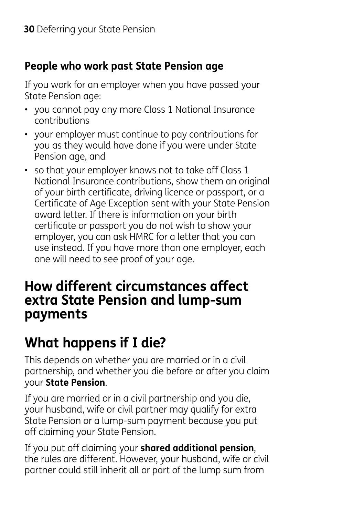### **People who work past State Pension age**

If you work for an employer when you have passed your State Pension age:

- you cannot pay any more Class 1 National Insurance contributions
- your employer must continue to pay contributions for you as they would have done if you were under State Pension age, and
- so that your employer knows not to take off Class 1 National Insurance contributions, show them an original of your birth certificate, driving licence or passport, or a Certificate of Age Exception sent with your State Pension award letter. If there is information on your birth certificate or passport you do not wish to show your employer, you can ask HMRC for a letter that you can use instead. If you have more than one employer, each one will need to see proof of your age.

## **How different circumstances affect extra State Pension and lump-sum payments**

# **What happens if I die?**

This depends on whether you are married or in a civil partnership, and whether you die before or after you claim your **State Pension**.

If you are married or in a civil partnership and you die, your husband, wife or civil partner may qualify for extra State Pension or a lump-sum payment because you put off claiming your State Pension.

If you put off claiming your **shared additional pension**, the rules are different. However, your husband, wife or civil partner could still inherit all or part of the lump sum from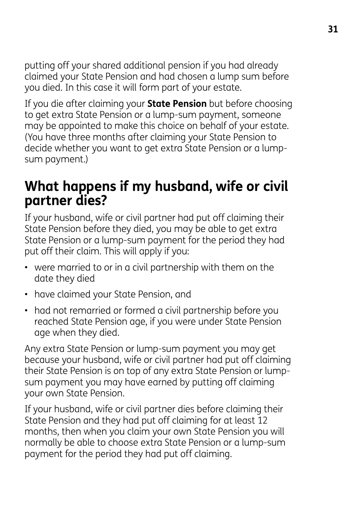putting off your shared additional pension if you had already claimed your State Pension and had chosen a lump sum before you died. In this case it will form part of your estate.

If you die after claiming your **State Pension** but before choosing to get extra State Pension or a lump-sum payment, someone may be appointed to make this choice on behalf of your estate. (You have three months after claiming your State Pension to decide whether you want to get extra State Pension or a lumpsum payment.)

## **What happens if my husband, wife or civil partner dies?**

If your husband, wife or civil partner had put off claiming their State Pension before they died, you may be able to get extra State Pension or a lump-sum payment for the period they had put off their claim. This will apply if you:

- were married to or in a civil partnership with them on the date they died
- have claimed your State Pension, and
- had not remarried or formed a civil partnership before you reached State Pension age, if you were under State Pension age when they died.

Any extra State Pension or lump-sum payment you may get because your husband, wife or civil partner had put off claiming their State Pension is on top of any extra State Pension or lumpsum payment you may have earned by putting off claiming your own State Pension.

If your husband, wife or civil partner dies before claiming their State Pension and they had put off claiming for at least 12 months, then when you claim your own State Pension you will normally be able to choose extra State Pension or a lump-sum payment for the period they had put off claiming.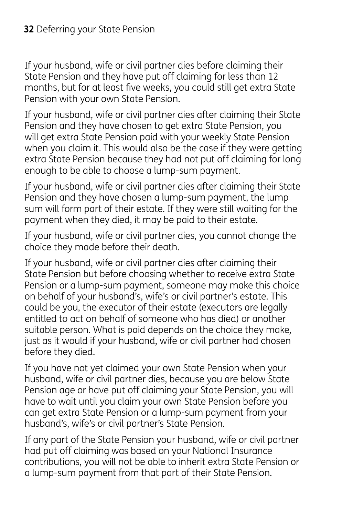If your husband, wife or civil partner dies before claiming their State Pension and they have put off claiming for less than 12 months, but for at least five weeks, you could still get extra State Pension with your own State Pension.

If your husband, wife or civil partner dies after claiming their State Pension and they have chosen to get extra State Pension, you will get extra State Pension paid with your weekly State Pension when you claim it. This would also be the case if they were getting extra State Pension because they had not put off claiming for long enough to be able to choose a lump-sum payment.

If your husband, wife or civil partner dies after claiming their State Pension and they have chosen a lump-sum payment, the lump sum will form part of their estate. If they were still waiting for the payment when they died, it may be paid to their estate.

If your husband, wife or civil partner dies, you cannot change the choice they made before their death.

If your husband, wife or civil partner dies after claiming their State Pension but before choosing whether to receive extra State Pension or a lump-sum payment, someone may make this choice on behalf of your husband's, wife's or civil partner's estate. This could be you, the executor of their estate (executors are legally entitled to act on behalf of someone who has died) or another suitable person. What is paid depends on the choice they make, just as it would if your husband, wife or civil partner had chosen before they died.

If you have not yet claimed your own State Pension when your husband, wife or civil partner dies, because you are below State Pension age or have put off claiming your State Pension, you will have to wait until you claim your own State Pension before you can get extra State Pension or a lump-sum payment from your husband's, wife's or civil partner's State Pension.

If any part of the State Pension your husband, wife or civil partner had put off claiming was based on your National Insurance contributions, you will not be able to inherit extra State Pension or a lump-sum payment from that part of their State Pension.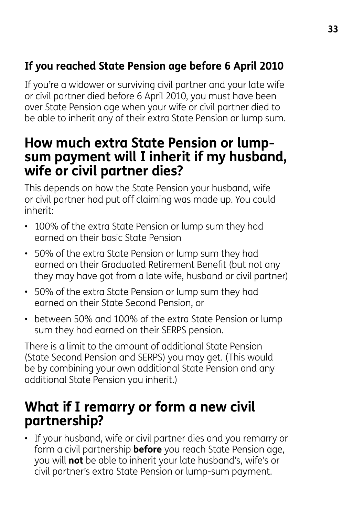## **If you reached State Pension age before 6 April 2010**

If you're a widower or surviving civil partner and your late wife or civil partner died before 6 April 2010, you must have been over State Pension age when your wife or civil partner died to be able to inherit any of their extra State Pension or lump sum.

## **How much extra State Pension or lumpsum payment will I inherit if my husband, wife or civil partner dies?**

This depends on how the State Pension your husband, wife or civil partner had put off claiming was made up. You could inherit:

- 100% of the extra State Pension or lump sum they had earned on their basic State Pension
- 50% of the extra State Pension or lump sum they had earned on their Graduated Retirement Benefit (but not any they may have got from a late wife, husband or civil partner)
- 50% of the extra State Pension or lump sum they had earned on their State Second Pension, or
- between 50% and 100% of the extra State Pension or lump sum they had earned on their SERPS pension.

There is a limit to the amount of additional State Pension (State Second Pension and SERPS) you may get. (This would be by combining your own additional State Pension and any additional State Pension you inherit.)

## **What if I remarry or form a new civil partnership?**

• If your husband, wife or civil partner dies and you remarry or form a civil partnership **before** you reach State Pension age, you will **not** be able to inherit your late husband's, wife's or civil partner's extra State Pension or lump-sum payment.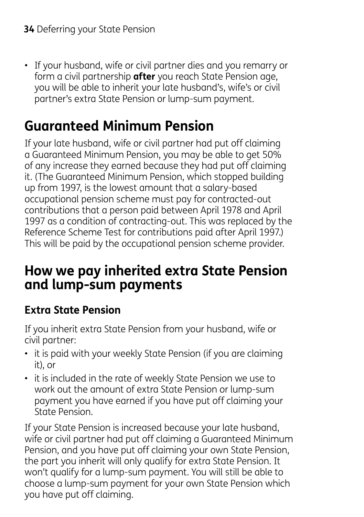• If your husband, wife or civil partner dies and you remarry or form a civil partnership **after** you reach State Pension age, you will be able to inherit your late husband's, wife's or civil partner's extra State Pension or lump-sum payment.

# **Guaranteed Minimum Pension**

If your late husband, wife or civil partner had put off claiming a Guaranteed Minimum Pension, you may be able to get 50% of any increase they earned because they had put off claiming it. (The Guaranteed Minimum Pension, which stopped building up from 1997, is the lowest amount that a salary-based occupational pension scheme must pay for contracted-out contributions that a person paid between April 1978 and April 1997 as a condition of contracting-out. This was replaced by the Reference Scheme Test for contributions paid after April 1997.) This will be paid by the occupational pension scheme provider.

## **How we pay inherited extra State Pension and lump-sum payments**

## **Extra State Pension**

If you inherit extra State Pension from your husband, wife or civil partner:

- it is paid with your weekly State Pension (if you are claiming it), or
- it is included in the rate of weekly State Pension we use to work out the amount of extra State Pension or lump-sum payment you have earned if you have put off claiming your State Pension.

If your State Pension is increased because your late husband, wife or civil partner had put off claiming a Guaranteed Minimum Pension, and you have put off claiming your own State Pension, the part you inherit will only qualify for extra State Pension. It won't qualify for a lump-sum payment. You will still be able to choose a lump-sum payment for your own State Pension which you have put off claiming.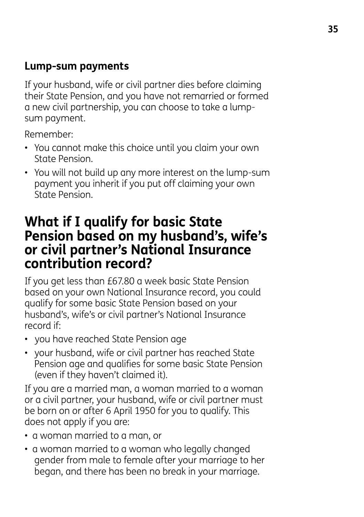#### **Lump-sum payments**

If your husband, wife or civil partner dies before claiming their State Pension, and you have not remarried or formed a new civil partnership, you can choose to take a lumpsum payment.

Remember:

- You cannot make this choice until you claim your own State Pension.
- You will not build up any more interest on the lump-sum payment you inherit if you put off claiming your own State Pension.

## **What if I qualify for basic State Pension based on my husband's, wife's or civil partner's National Insurance contribution record?**

If you get less than £67.80 a week basic State Pension based on your own National Insurance record, you could qualify for some basic State Pension based on your husband's, wife's or civil partner's National Insurance record if:

- you have reached State Pension age
- your husband, wife or civil partner has reached State Pension age and qualifies for some basic State Pension (even if they haven't claimed it).

If you are a married man, a woman married to a woman or a civil partner, your husband, wife or civil partner must be born on or after 6 April 1950 for you to qualify. This does not apply if you are:

- a woman married to a man, or
- a woman married to a woman who legally changed gender from male to female after your marriage to her began, and there has been no break in your marriage.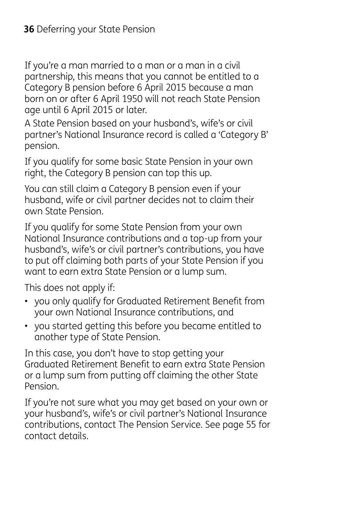If you're a man married to a man or a man in a civil partnership, this means that you cannot be entitled to a Category B pension before 6 April 2015 because a man born on or after 6 April 1950 will not reach State Pension age until 6 April 2015 or later.

A State Pension based on your husband's, wife's or civil partner's National Insurance record is called a 'Category B' pension.

If you qualify for some basic State Pension in your own right, the Category B pension can top this up.

You can still claim a Category B pension even if your husband, wife or civil partner decides not to claim their own State Pension.

If you qualify for some State Pension from your own National Insurance contributions and a top-up from your husband's, wife's or civil partner's contributions, you have to put off claiming both parts of your State Pension if you want to earn extra State Pension or a lump sum.

This does not apply if:

- you only qualify for Graduated Retirement Benefit from your own National Insurance contributions, and
- you started getting this before you became entitled to another type of State Pension.

In this case, you don't have to stop getting your Graduated Retirement Benefit to earn extra State Pension or a lump sum from putting off claiming the other State Pension.

If you're not sure what you may get based on your own or your husband's, wife's or civil partner's National Insurance contributions, contact The Pension Service. See page 55 for contact details.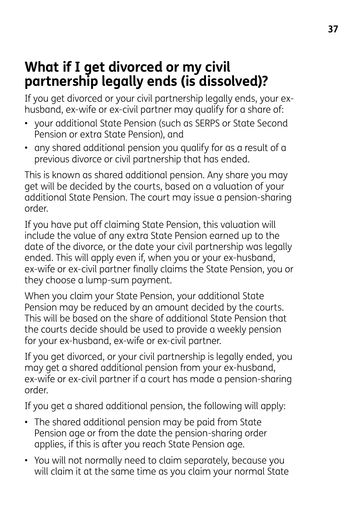## **What if I get divorced or my civil partnership legally ends (is dissolved)?**

If you get divorced or your civil partnership legally ends, your exhusband, ex-wife or ex-civil partner may qualify for a share of:

- your additional State Pension (such as SERPS or State Second Pension or extra State Pension), and
- any shared additional pension you qualify for as a result of a previous divorce or civil partnership that has ended.

This is known as shared additional pension. Any share you may get will be decided by the courts, based on a valuation of your additional State Pension. The court may issue a pension-sharing order.

If you have put off claiming State Pension, this valuation will include the value of any extra State Pension earned up to the date of the divorce, or the date your civil partnership was legally ended. This will apply even if, when you or your ex-husband, ex-wife or ex-civil partner finally claims the State Pension, you or they choose a lump-sum payment.

When you claim your State Pension, your additional State Pension may be reduced by an amount decided by the courts. This will be based on the share of additional State Pension that the courts decide should be used to provide a weekly pension for your ex-husband, ex-wife or ex-civil partner.

If you get divorced, or your civil partnership is legally ended, you may get a shared additional pension from your ex-husband, ex-wife or ex-civil partner if a court has made a pension-sharing order.

If you get a shared additional pension, the following will apply:

- The shared additional pension may be paid from State Pension age or from the date the pension-sharing order applies, if this is after you reach State Pension age.
- You will not normally need to claim separately, because you will claim it at the same time as you claim your normal State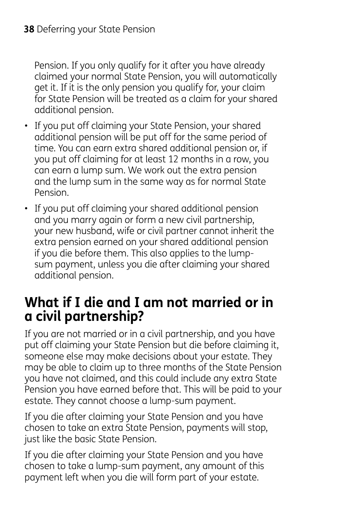Pension. If you only qualify for it after you have already claimed your normal State Pension, you will automatically get it. If it is the only pension you qualify for, your claim for State Pension will be treated as a claim for your shared additional pension.

- If you put off claiming your State Pension, your shared additional pension will be put off for the same period of time. You can earn extra shared additional pension or, if you put off claiming for at least 12 months in a row, you can earn a lump sum. We work out the extra pension and the lump sum in the same way as for normal State Pension.
- If you put off claiming your shared additional pension and you marry again or form a new civil partnership, your new husband, wife or civil partner cannot inherit the extra pension earned on your shared additional pension if you die before them. This also applies to the lumpsum payment, unless you die after claiming your shared additional pension.

## **What if I die and I am not married or in a civil partnership?**

If you are not married or in a civil partnership, and you have put off claiming your State Pension but die before claiming it, someone else may make decisions about your estate. They may be able to claim up to three months of the State Pension you have not claimed, and this could include any extra State Pension you have earned before that. This will be paid to your estate. They cannot choose a lump-sum payment.

If you die after claiming your State Pension and you have chosen to take an extra State Pension, payments will stop, just like the basic State Pension.

If you die after claiming your State Pension and you have chosen to take a lump-sum payment, any amount of this payment left when you die will form part of your estate.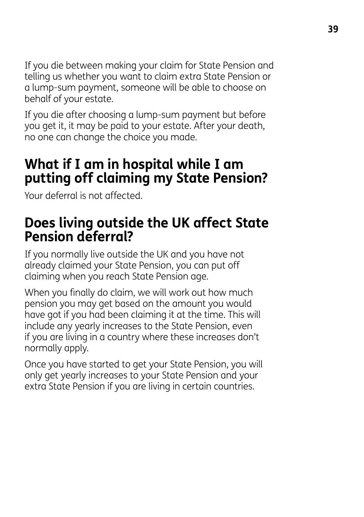If you die between making your claim for State Pension and telling us whether you want to claim extra State Pension or a lump-sum payment, someone will be able to choose on behalf of your estate.

If you die after choosing a lump-sum payment but before you get it, it may be paid to your estate. After your death, no one can change the choice you made.

## **What if I am in hospital while I am putting off claiming my State Pension?**

Your deferral is not affected.

## **Does living outside the UK affect State Pension deferral?**

If you normally live outside the UK and you have not already claimed your State Pension, you can put off claiming when you reach State Pension age.

When you finally do claim, we will work out how much pension you may get based on the amount you would have got if you had been claiming it at the time. This will include any yearly increases to the State Pension, even if you are living in a country where these increases don't normally apply.

Once you have started to get your State Pension, you will only get yearly increases to your State Pension and your extra State Pension if you are living in certain countries.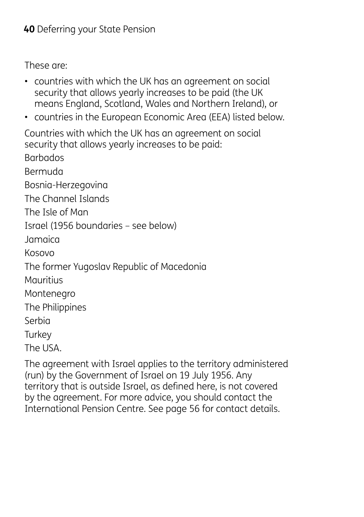These are:

- countries with which the UK has an agreement on social security that allows yearly increases to be paid (the UK means England, Scotland, Wales and Northern Ireland), or
- countries in the European Economic Area (EEA) listed below.

Countries with which the UK has an agreement on social security that allows yearly increases to be paid: Barbados Bermuda Bosnia-Herzegovina The Channel Islands The Isle of Man Israel (1956 boundaries – see below) Jamaica Kosovo The former Yugoslav Republic of Macedonia Mauritius Montenegro The Philippines Serbia **Turkey** The USA.

The agreement with Israel applies to the territory administered (run) by the Government of Israel on 19 July 1956. Any territory that is outside Israel, as defined here, is not covered by the agreement. For more advice, you should contact the International Pension Centre. See page 56 for contact details.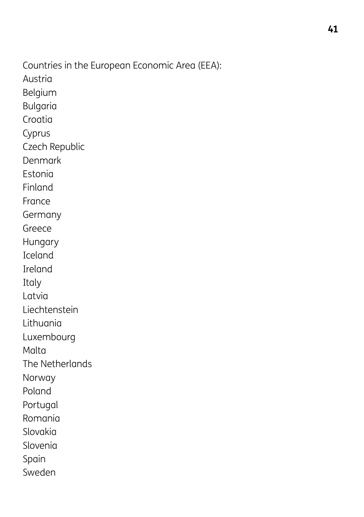Countries in the European Economic Area (EEA): Austria Belgium Bulgaria Croatia Cyprus Czech Republic Denmark Estonia Finland France Germany Greece Hungary Iceland Ireland Italy Latvia Liechtenstein Lithuania Luxembourg Malta The Netherlands Norway Poland Portugal Romania Slovakia Slovenia Spain Sweden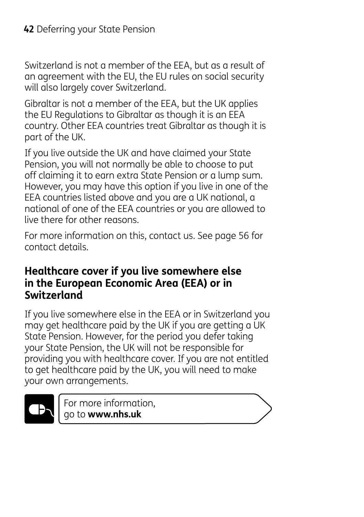Switzerland is not a member of the EEA, but as a result of an agreement with the EU, the EU rules on social security will also largely cover Switzerland.

Gibraltar is not a member of the EEA, but the UK applies the EU Regulations to Gibraltar as though it is an EEA country. Other EEA countries treat Gibraltar as though it is part of the UK.

If you live outside the UK and have claimed your State Pension, you will not normally be able to choose to put off claiming it to earn extra State Pension or a lump sum. However, you may have this option if you live in one of the EEA countries listed above and you are a UK national, a national of one of the EEA countries or you are allowed to live there for other reasons.

For more information on this, contact us. See page 56 for contact details.

#### **Healthcare cover if you live somewhere else in the European Economic Area (EEA) or in Switzerland**

If you live somewhere else in the EEA or in Switzerland you may get healthcare paid by the UK if you are getting a UK State Pension. However, for the period you defer taking your State Pension, the UK will not be responsible for providing you with healthcare cover. If you are not entitled to get healthcare paid by the UK, you will need to make your own arrangements.



For more information, go to **www.nhs.uk**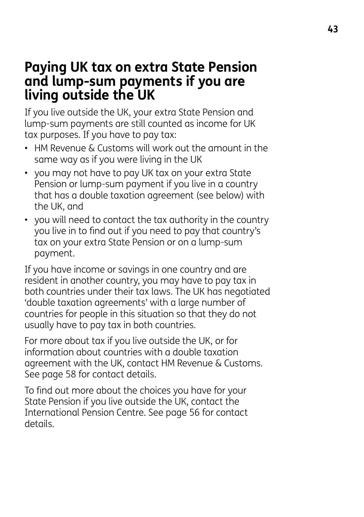## **Paying UK tax on extra State Pension and lump-sum payments if you are living outside the UK**

If you live outside the UK, your extra State Pension and lump-sum payments are still counted as income for UK tax purposes. If you have to pay tax:

- HM Revenue & Customs will work out the amount in the same way as if you were living in the UK
- you may not have to pay UK tax on your extra State Pension or lump-sum payment if you live in a country that has a double taxation agreement (see below) with the UK, and
- you will need to contact the tax authority in the country you live in to find out if you need to pay that country's tax on your extra State Pension or on a lump-sum payment.

If you have income or savings in one country and are resident in another country, you may have to pay tax in both countries under their tax laws. The UK has negotiated 'double taxation agreements' with a large number of countries for people in this situation so that they do not usually have to pay tax in both countries.

For more about tax if you live outside the UK, or for information about countries with a double taxation agreement with the UK, contact HM Revenue & Customs. See page 58 for contact details.

To find out more about the choices you have for your State Pension if you live outside the UK, contact the International Pension Centre. See page 56 for contact details.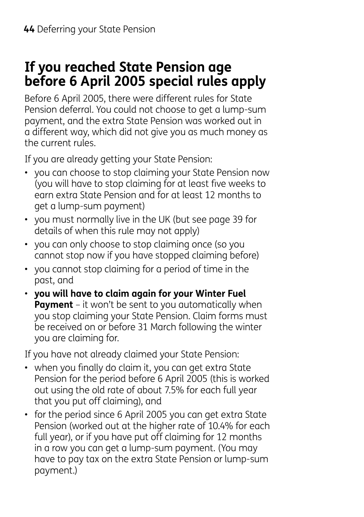## **If you reached State Pension age before 6 April 2005 special rules apply**

Before 6 April 2005, there were different rules for State Pension deferral. You could not choose to get a lump-sum payment, and the extra State Pension was worked out in a different way, which did not give you as much money as the current rules.

If you are already getting your State Pension:

- you can choose to stop claiming your State Pension now (you will have to stop claiming for at least five weeks to earn extra State Pension and for at least 12 months to get a lump-sum payment)
- you must normally live in the UK (but see page 39 for details of when this rule may not apply)
- you can only choose to stop claiming once (so you cannot stop now if you have stopped claiming before)
- you cannot stop claiming for a period of time in the past, and
- **you will have to claim again for your Winter Fuel Payment** – it won't be sent to you automatically when you stop claiming your State Pension. Claim forms must be received on or before 31 March following the winter you are claiming for.

If you have not already claimed your State Pension:

- when you finally do claim it, you can get extra State Pension for the period before 6 April 2005 (this is worked out using the old rate of about 7.5% for each full year that you put off claiming), and
- for the period since 6 April 2005 you can get extra State Pension (worked out at the higher rate of 10.4% for each full year), or if you have put off claiming for 12 months in a row you can get a lump-sum payment. (You may have to pay tax on the extra State Pension or lump-sum payment.)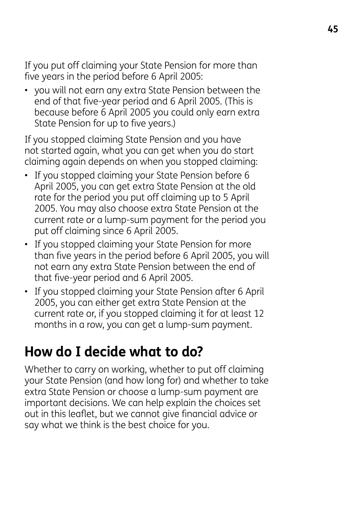If you put off claiming your State Pension for more than five years in the period before 6 April 2005:

• you will not earn any extra State Pension between the end of that five-year period and 6 April 2005. (This is because before 6 April 2005 you could only earn extra State Pension for up to five years.)

If you stopped claiming State Pension and you have not started again, what you can get when you do start claiming again depends on when you stopped claiming:

- If you stopped claiming your State Pension before 6 April 2005, you can get extra State Pension at the old rate for the period you put off claiming up to 5 April 2005. You may also choose extra State Pension at the current rate or a lump-sum payment for the period you put off claiming since 6 April 2005.
- If you stopped claiming your State Pension for more than five years in the period before 6 April 2005, you will not earn any extra State Pension between the end of that five-year period and 6 April 2005.
- If you stopped claiming your State Pension after 6 April 2005, you can either get extra State Pension at the current rate or, if you stopped claiming it for at least 12 months in a row, you can get a lump-sum payment.

## **How do I decide what to do?**

Whether to carry on working, whether to put off claiming your State Pension (and how long for) and whether to take extra State Pension or choose a lump-sum payment are important decisions. We can help explain the choices set out in this leaflet, but we cannot give financial advice or say what we think is the best choice for you.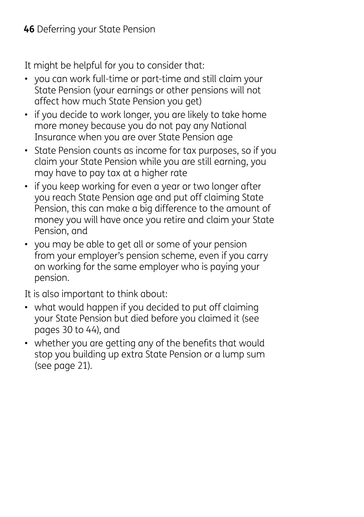It might be helpful for you to consider that:

- you can work full-time or part-time and still claim your State Pension (your earnings or other pensions will not affect how much State Pension you get)
- if you decide to work longer, you are likely to take home more money because you do not pay any National Insurance when you are over State Pension age
- State Pension counts as income for tax purposes, so if you claim your State Pension while you are still earning, you may have to pay tax at a higher rate
- if you keep working for even a year or two longer after you reach State Pension age and put off claiming State Pension, this can make a big difference to the amount of money you will have once you retire and claim your State Pension, and
- you may be able to get all or some of your pension from your employer's pension scheme, even if you carry on working for the same employer who is paying your pension.

It is also important to think about:

- what would happen if you decided to put off claiming your State Pension but died before you claimed it (see pages 30 to 44), and
- whether you are getting any of the benefits that would stop you building up extra State Pension or a lump sum (see page 21).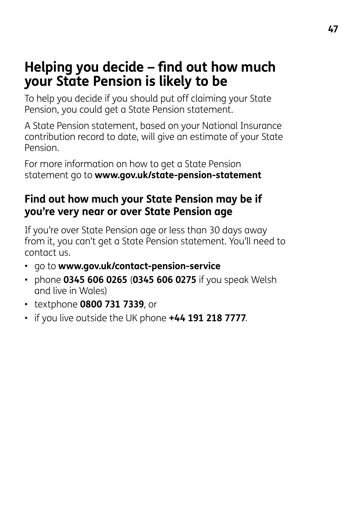## **Helping you decide – find out how much your State Pension is likely to be**

To help you decide if you should put off claiming your State Pension, you could get a State Pension statement.

A State Pension statement, based on your National Insurance contribution record to date, will give an estimate of your State Pension.

For more information on how to get a State Pension statement go to **www.gov.uk/state-pension-statement**

#### **Find out how much your State Pension may be if you're very near or over State Pension age**

If you're over State Pension age or less than 30 days away from it, you can't get a State Pension statement. You'll need to contact us.

- go to **www.gov.uk/contact-pension-service**
- phone **0345 606 0265** (**0345 606 0275** if you speak Welsh and live in Wales)
- textphone **0800 731 7339**, or
- if you live outside the UK phone **+44 191 218 7777**.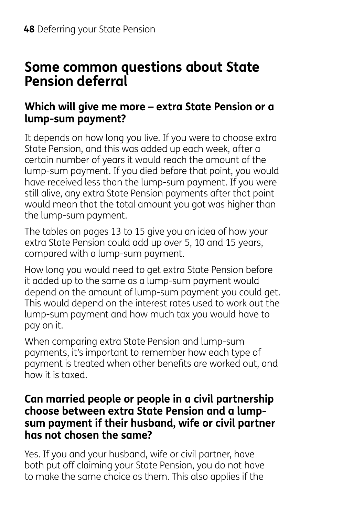## **Some common questions about State Pension deferral**

#### **Which will give me more – extra State Pension or a lump-sum payment?**

It depends on how long you live. If you were to choose extra State Pension, and this was added up each week, after a certain number of years it would reach the amount of the lump-sum payment. If you died before that point, you would have received less than the lump-sum payment. If you were still alive, any extra State Pension payments after that point would mean that the total amount you got was higher than the lump-sum payment.

The tables on pages 13 to 15 give you an idea of how your extra State Pension could add up over 5, 10 and 15 years, compared with a lump-sum payment.

How long you would need to get extra State Pension before it added up to the same as a lump-sum payment would depend on the amount of lump-sum payment you could get. This would depend on the interest rates used to work out the lump-sum payment and how much tax you would have to pay on it.

When comparing extra State Pension and lump-sum payments, it's important to remember how each type of payment is treated when other benefits are worked out, and how it is taxed.

#### **Can married people or people in a civil partnership choose between extra State Pension and a lumpsum payment if their husband, wife or civil partner has not chosen the same?**

Yes. If you and your husband, wife or civil partner, have both put off claiming your State Pension, you do not have to make the same choice as them. This also applies if the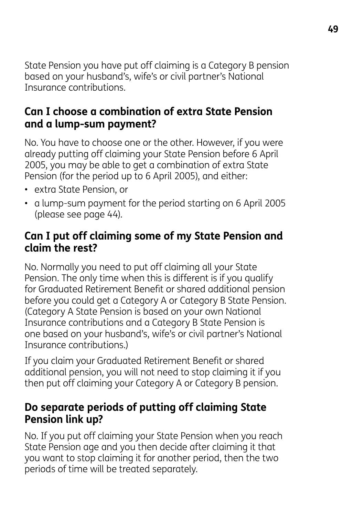State Pension you have put off claiming is a Category B pension based on your husband's, wife's or civil partner's National Insurance contributions.

#### **Can I choose a combination of extra State Pension and a lump-sum payment?**

No. You have to choose one or the other. However, if you were already putting off claiming your State Pension before 6 April 2005, you may be able to get a combination of extra State Pension (for the period up to 6 April 2005), and either:

- extra State Pension, or
- a lump-sum payment for the period starting on 6 April 2005 (please see page 44).

#### **Can I put off claiming some of my State Pension and claim the rest?**

No. Normally you need to put off claiming all your State Pension. The only time when this is different is if you qualify for Graduated Retirement Benefit or shared additional pension before you could get a Category A or Category B State Pension. (Category A State Pension is based on your own National Insurance contributions and a Category B State Pension is one based on your husband's, wife's or civil partner's National Insurance contributions.)

If you claim your Graduated Retirement Benefit or shared additional pension, you will not need to stop claiming it if you then put off claiming your Category A or Category B pension.

#### **Do separate periods of putting off claiming State Pension link up?**

No. If you put off claiming your State Pension when you reach State Pension age and you then decide after claiming it that you want to stop claiming it for another period, then the two periods of time will be treated separately.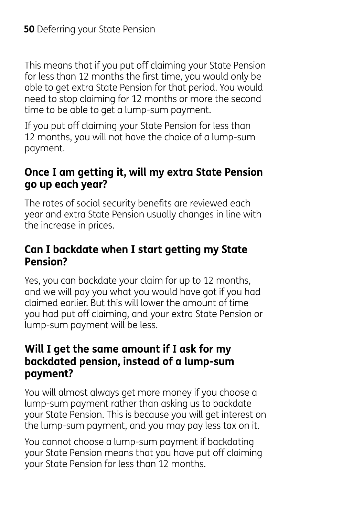This means that if you put off claiming your State Pension for less than 12 months the first time, you would only be able to get extra State Pension for that period. You would need to stop claiming for 12 months or more the second time to be able to get a lump-sum payment.

If you put off claiming your State Pension for less than 12 months, you will not have the choice of a lump-sum payment.

#### **Once I am getting it, will my extra State Pension go up each year?**

The rates of social security benefits are reviewed each year and extra State Pension usually changes in line with the increase in prices.

#### **Can I backdate when I start getting my State Pension?**

Yes, you can backdate your claim for up to 12 months, and we will pay you what you would have got if you had claimed earlier. But this will lower the amount of time you had put off claiming, and your extra State Pension or lump-sum payment will be less.

#### **Will I get the same amount if I ask for my backdated pension, instead of a lump-sum payment?**

You will almost always get more money if you choose a lump-sum payment rather than asking us to backdate your State Pension. This is because you will get interest on the lump-sum payment, and you may pay less tax on it.

You cannot choose a lump-sum payment if backdating your State Pension means that you have put off claiming your State Pension for less than 12 months.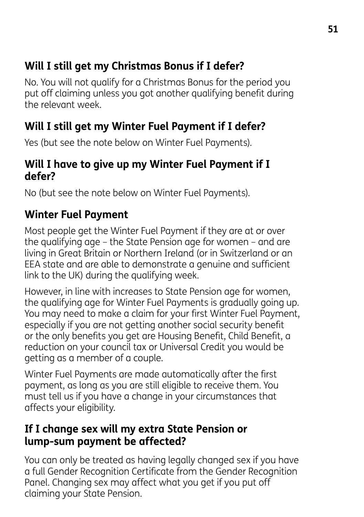### **Will I still get my Christmas Bonus if I defer?**

No. You will not qualify for a Christmas Bonus for the period you put off claiming unless you got another qualifying benefit during the relevant week.

### **Will I still get my Winter Fuel Payment if I defer?**

Yes (but see the note below on Winter Fuel Payments).

#### **Will I have to give up my Winter Fuel Payment if I defer?**

No (but see the note below on Winter Fuel Payments).

## **Winter Fuel Payment**

Most people get the Winter Fuel Payment if they are at or over the qualifying age – the State Pension age for women – and are living in Great Britain or Northern Ireland (or in Switzerland or an EEA state and are able to demonstrate a genuine and sufficient link to the UK) during the qualifying week.

However, in line with increases to State Pension age for women, the qualifying age for Winter Fuel Payments is gradually going up. You may need to make a claim for your first Winter Fuel Payment, especially if you are not getting another social security benefit or the only benefits you get are Housing Benefit, Child Benefit, a reduction on your council tax or Universal Credit you would be getting as a member of a couple.

Winter Fuel Payments are made automatically after the first payment, as long as you are still eligible to receive them. You must tell us if you have a change in your circumstances that affects your eligibility.

#### **If I change sex will my extra State Pension or lump-sum payment be affected?**

You can only be treated as having legally changed sex if you have a full Gender Recognition Certificate from the Gender Recognition Panel. Changing sex may affect what you get if you put off claiming your State Pension.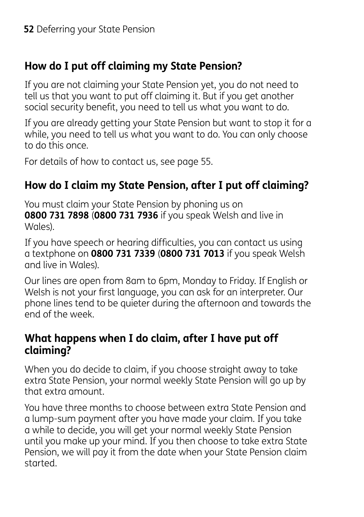### **How do I put off claiming my State Pension?**

If you are not claiming your State Pension yet, you do not need to tell us that you want to put off claiming it. But if you get another social security benefit, you need to tell us what you want to do.

If you are already getting your State Pension but want to stop it for a while, you need to tell us what you want to do. You can only choose to do this once.

For details of how to contact us, see page 55.

### **How do I claim my State Pension, after I put off claiming?**

You must claim your State Pension by phoning us on **0800 731 7898** (**0800 731 7936** if you speak Welsh and live in Wales).

If you have speech or hearing difficulties, you can contact us using a textphone on **0800 731 7339** (**0800 731 7013** if you speak Welsh and live in Wales).

Our lines are open from 8am to 6pm, Monday to Friday. If English or Welsh is not your first language, you can ask for an interpreter. Our phone lines tend to be quieter during the afternoon and towards the end of the week.

#### **What happens when I do claim, after I have put off claiming?**

When you do decide to claim, if you choose straight away to take extra State Pension, your normal weekly State Pension will go up by that extra amount.

You have three months to choose between extra State Pension and a lump-sum payment after you have made your claim. If you take a while to decide, you will get your normal weekly State Pension until you make up your mind. If you then choose to take extra State Pension, we will pay it from the date when your State Pension claim started.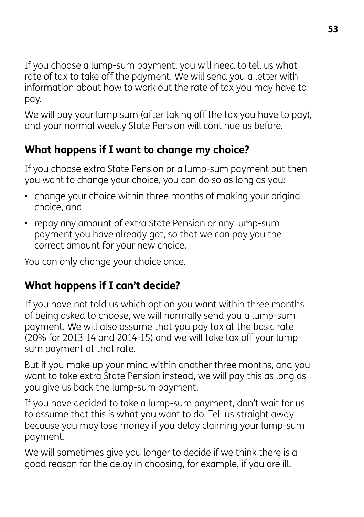If you choose a lump-sum payment, you will need to tell us what rate of tax to take off the payment. We will send you a letter with information about how to work out the rate of tax you may have to pay.

We will pay your lump sum (after taking off the tax you have to pay). and your normal weekly State Pension will continue as before.

## **What happens if I want to change my choice?**

If you choose extra State Pension or a lump-sum payment but then you want to change your choice, you can do so as long as you:

- change your choice within three months of making your original choice, and
- repay any amount of extra State Pension or any lump-sum payment you have already got, so that we can pay you the correct amount for your new choice.

You can only change your choice once.

### **What happens if I can't decide?**

If you have not told us which option you want within three months of being asked to choose, we will normally send you a lump-sum payment. We will also assume that you pay tax at the basic rate (20% for 2013-14 and 2014-15) and we will take tax off your lumpsum payment at that rate.

But if you make up your mind within another three months, and you want to take extra State Pension instead, we will pay this as long as you give us back the lump-sum payment.

If you have decided to take a lump-sum payment, don't wait for us to assume that this is what you want to do. Tell us straight away because you may lose money if you delay claiming your lump-sum payment.

We will sometimes give you longer to decide if we think there is a good reason for the delay in choosing, for example, if you are ill.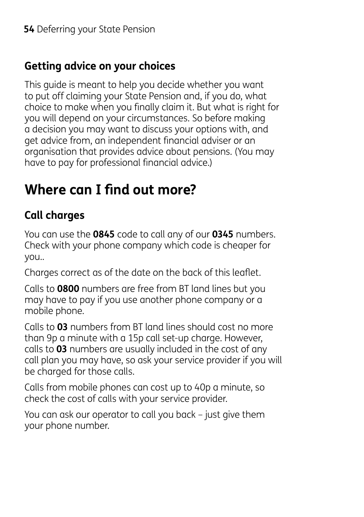### **Getting advice on your choices**

This guide is meant to help you decide whether you want to put off claiming your State Pension and, if you do, what choice to make when you finally claim it. But what is right for you will depend on your circumstances. So before making a decision you may want to discuss your options with, and get advice from, an independent financial adviser or an organisation that provides advice about pensions. (You may have to pay for professional financial advice.)

# **Where can I find out more?**

## **Call charges**

You can use the **0845** code to call any of our **0345** numbers. Check with your phone company which code is cheaper for you..

Charges correct as of the date on the back of this leaflet.

Calls to **0800** numbers are free from BT land lines but you may have to pay if you use another phone company or a mobile phone.

Calls to **03** numbers from BT land lines should cost no more than 9p a minute with a 15p call set-up charge. However, calls to **03** numbers are usually included in the cost of any call plan you may have, so ask your service provider if you will be charged for those calls.

Calls from mobile phones can cost up to 40p a minute, so check the cost of calls with your service provider.

You can ask our operator to call you back – just give them your phone number.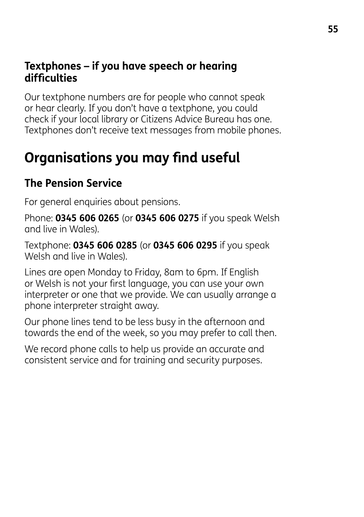#### **Textphones – if you have speech or hearing difficulties**

Our textphone numbers are for people who cannot speak or hear clearly. If you don't have a textphone, you could check if your local library or Citizens Advice Bureau has one. Textphones don't receive text messages from mobile phones.

# **Organisations you may find useful**

### **The Pension Service**

For general enquiries about pensions.

Phone: **0345 606 0265** (or **0345 606 0275** if you speak Welsh and live in Wales).

Textphone: **0345 606 0285** (or **0345 606 0295** if you speak Welsh and live in Wales).

Lines are open Monday to Friday, 8am to 6pm. If English or Welsh is not your first language, you can use your own interpreter or one that we provide. We can usually arrange a phone interpreter straight away.

Our phone lines tend to be less busy in the afternoon and towards the end of the week, so you may prefer to call then.

We record phone calls to help us provide an accurate and consistent service and for training and security purposes.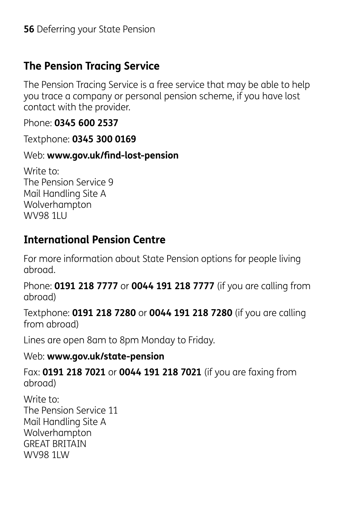### **The Pension Tracing Service**

The Pension Tracing Service is a free service that may be able to help you trace a company or personal pension scheme, if you have lost contact with the provider.

Phone: **0345 600 2537**

Textphone: **0345 300 0169** 

#### Web: **www.gov.uk/find-lost-pension**

Write to: The Pension Service 9 Mail Handling Site A Wolverhampton WV98 1LU

### **International Pension Centre**

For more information about State Pension options for people living abroad.

Phone: **0191 218 7777** or **0044 191 218 7777** (if you are calling from abroad)

Textphone: **0191 218 7280** or **0044 191 218 7280** (if you are calling from abroad)

Lines are open 8am to 8pm Monday to Friday.

#### Web: **www.gov.uk/state-pension**

Fax: **0191 218 7021** or **0044 191 218 7021** (if you are faxing from abroad)

Write to: The Pension Service 11 Mail Handling Site A Wolverhampton GREAT BRITAIN WV98 1LW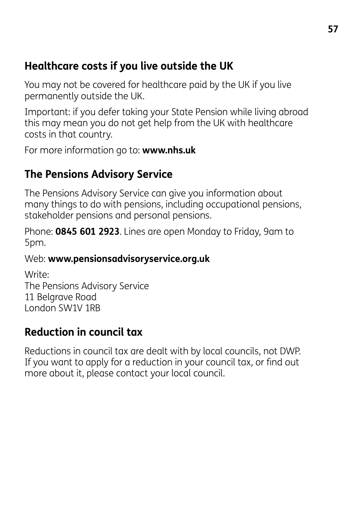### **Healthcare costs if you live outside the UK**

You may not be covered for healthcare paid by the UK if you live permanently outside the UK.

Important: if you defer taking your State Pension while living abroad this may mean you do not get help from the UK with healthcare costs in that country.

For more information go to: **www.nhs.uk** 

## **The Pensions Advisory Service**

The Pensions Advisory Service can give you information about many things to do with pensions, including occupational pensions, stakeholder pensions and personal pensions.

Phone: **0845 601 2923**. Lines are open Monday to Friday, 9am to 5pm.

#### Web: **www.pensionsadvisoryservice.org.uk**

Write: The Pensions Advisory Service 11 Belgrave Road London SW1V 1RB

## **Reduction in council tax**

Reductions in council tax are dealt with by local councils, not DWP. If you want to apply for a reduction in your council tax, or find out more about it, please contact your local council.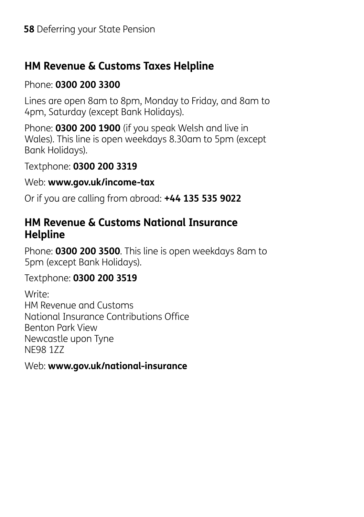### **HM Revenue & Customs Taxes Helpline**

#### Phone: **0300 200 3300**

Lines are open 8am to 8pm, Monday to Friday, and 8am to 4pm, Saturday (except Bank Holidays).

Phone: **0300 200 1900** (if you speak Welsh and live in Wales). This line is open weekdays 8.30am to 5pm (except Bank Holidays).

Textphone: **0300 200 3319** 

Web: **www.gov.uk/income-tax**

Or if you are calling from abroad: **+44 135 535 9022**

#### **HM Revenue & Customs National Insurance Helpline**

Phone: **0300 200 3500**. This line is open weekdays 8am to 5pm (except Bank Holidays).

#### Textphone: **0300 200 3519**

Write: HM Revenue and Customs National Insurance Contributions Office Benton Park View Newcastle upon Tyne NE98 1ZZ

Web: **www.gov.uk/national-insurance**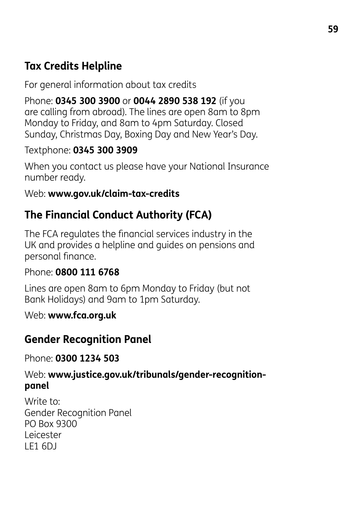### **Tax Credits Helpline**

For general information about tax credits

Phone: **0345 300 3900** or **0044 2890 538 192** (if you are calling from abroad). The lines are open 8am to 8pm Monday to Friday, and 8am to 4pm Saturday. Closed Sunday, Christmas Day, Boxing Day and New Year's Day.

#### Textphone: **0345 300 3909**

When you contact us please have your National Insurance number ready.

#### Web: **www.gov.uk/claim-tax-credits**

### **The Financial Conduct Authority (FCA)**

The FCA regulates the financial services industry in the UK and provides a helpline and guides on pensions and personal finance.

#### Phone: **0800 111 6768**

Lines are open 8am to 6pm Monday to Friday (but not Bank Holidays) and 9am to 1pm Saturday.

Web: **www.fca.org.uk**

### **Gender Recognition Panel**

Phone: **0300 1234 503**

#### Web: **www.justice.gov.uk/tribunals/gender-recognitionpanel**

Write to: Gender Recognition Panel PO Box 9300 Leicester LE1 6DJ